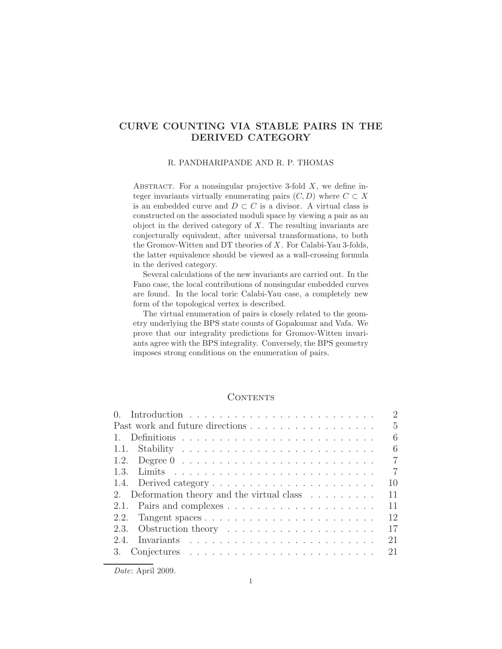## CURVE COUNTING VIA STABLE PAIRS IN THE DERIVED CATEGORY

#### R. PANDHARIPANDE AND R. P. THOMAS

ABSTRACT. For a nonsingular projective 3-fold  $X$ , we define integer invariants virtually enumerating pairs  $(C, D)$  where  $C \subset X$ is an embedded curve and  $D \subset C$  is a divisor. A virtual class is constructed on the associated moduli space by viewing a pair as an object in the derived category of  $X$ . The resulting invariants are conjecturally equivalent, after universal transformations, to both the Gromov-Witten and DT theories of X. For Calabi-Yau 3-folds, the latter equivalence should be viewed as a wall-crossing formula in the derived category.

Several calculations of the new invariants are carried out. In the Fano case, the local contributions of nonsingular embedded curves are found. In the local toric Calabi-Yau case, a completely new form of the topological vertex is described.

The virtual enumeration of pairs is closely related to the geometry underlying the BPS state counts of Gopakumar and Vafa. We prove that our integrality predictions for Gromov-Witten invariants agree with the BPS integrality. Conversely, the BPS geometry imposes strong conditions on the enumeration of pairs.

## **CONTENTS**

| (                                                                             | $\overline{2}$ |
|-------------------------------------------------------------------------------|----------------|
| Past work and future directions                                               | $\overline{5}$ |
|                                                                               | 6              |
|                                                                               | 6              |
|                                                                               | $\overline{7}$ |
|                                                                               | 7              |
| 1.4. Derived category $\dots \dots \dots \dots \dots \dots \dots \dots$       | 10             |
| 2. Deformation theory and the virtual class $\dots \dots$                     | 11             |
|                                                                               | 11             |
| 2.2. Tangent spaces $\ldots \ldots \ldots \ldots \ldots \ldots \ldots \ldots$ | 12             |
| 2.3. Obstruction theory $\dots \dots \dots \dots \dots \dots \dots$           | 17             |
| 2.4                                                                           | 21             |
| 3. Conjectures $\dots \dots \dots \dots \dots \dots \dots \dots \dots \dots$  | 21             |

*Date*: April 2009.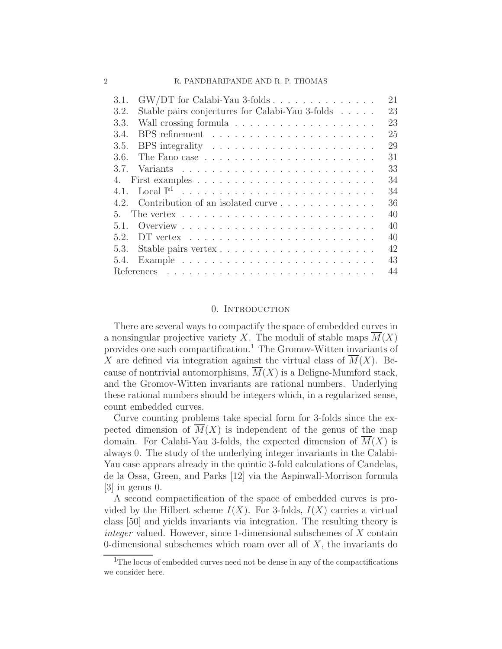#### 2 R. PANDHARIPANDE AND R. P. THOMAS

| $GW/DT$ for Calabi-Yau 3-folds $\ldots \ldots \ldots \ldots \ldots$<br>21<br>3.1.      |
|----------------------------------------------------------------------------------------|
| Stable pairs conjectures for Calabi-Yau 3-folds<br>23<br>3.2.                          |
| 3.3.<br>23                                                                             |
| 25<br>3.4.                                                                             |
| 3.5.<br>BPS integrality $\dots \dots \dots \dots \dots \dots \dots \dots$<br>29        |
| 31<br>3.6.                                                                             |
| 33<br>3.7                                                                              |
| 34<br>4.                                                                               |
| 34<br>4.1.                                                                             |
| Contribution of an isolated curve<br>36<br>4.2                                         |
| 40<br>The vertex $\ldots \ldots \ldots \ldots \ldots \ldots \ldots \ldots$<br>5.       |
| 40<br>5.1.                                                                             |
| 5.2<br>40                                                                              |
| 42<br>5.3.                                                                             |
| 43<br>Example $\ldots \ldots \ldots \ldots \ldots \ldots \ldots \ldots \ldots$<br>5.4. |
| 44                                                                                     |

#### 0. INTRODUCTION

There are several ways to compactify the space of embedded curves in a nonsingular projective variety X. The moduli of stable maps  $M(X)$ provides one such compactification.<sup>1</sup> The Gromov-Witten invariants of X are defined via integration against the virtual class of  $\overline{M}(X)$ . Because of nontrivial automorphisms,  $\overline{M}(X)$  is a Deligne-Mumford stack, and the Gromov-Witten invariants are rational numbers. Underlying these rational numbers should be integers which, in a regularized sense, count embedded curves.

Curve counting problems take special form for 3-folds since the expected dimension of  $M(X)$  is independent of the genus of the map domain. For Calabi-Yau 3-folds, the expected dimension of  $M(X)$  is always 0. The study of the underlying integer invariants in the Calabi-Yau case appears already in the quintic 3-fold calculations of Candelas, de la Ossa, Green, and Parks [12] via the Aspinwall-Morrison formula [3] in genus 0.

A second compactification of the space of embedded curves is provided by the Hilbert scheme  $I(X)$ . For 3-folds,  $I(X)$  carries a virtual class [50] and yields invariants via integration. The resulting theory is integer valued. However, since 1-dimensional subschemes of X contain 0-dimensional subschemes which roam over all of  $X$ , the invariants do

<sup>&</sup>lt;sup>1</sup>The locus of embedded curves need not be dense in any of the compactifications we consider here.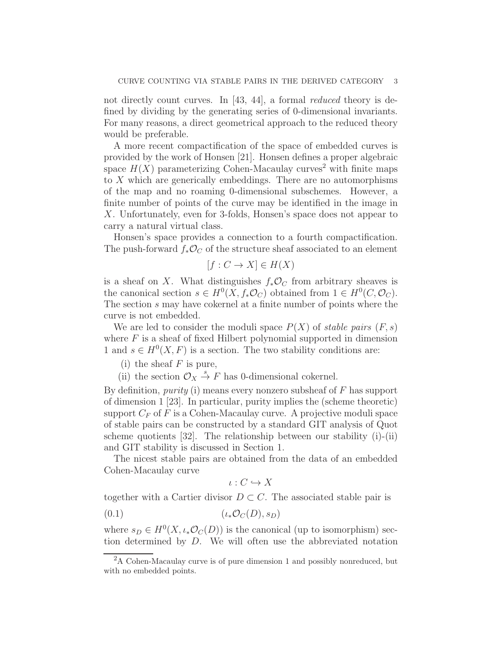not directly count curves. In [43, 44], a formal reduced theory is defined by dividing by the generating series of 0-dimensional invariants. For many reasons, a direct geometrical approach to the reduced theory would be preferable.

A more recent compactification of the space of embedded curves is provided by the work of Honsen [21]. Honsen defines a proper algebraic space  $H(X)$  parameterizing Cohen-Macaulay curves<sup>2</sup> with finite maps to X which are generically embeddings. There are no automorphisms of the map and no roaming 0-dimensional subschemes. However, a finite number of points of the curve may be identified in the image in X. Unfortunately, even for 3-folds, Honsen's space does not appear to carry a natural virtual class.

Honsen's space provides a connection to a fourth compactification. The push-forward  $f_*\mathcal{O}_C$  of the structure sheaf associated to an element

$$
[f: C \to X] \in H(X)
$$

is a sheaf on X. What distinguishes  $f_*\mathcal{O}_C$  from arbitrary sheaves is the canonical section  $s \in H^0(X, f_*\mathcal{O}_C)$  obtained from  $1 \in H^0(C, \mathcal{O}_C)$ . The section s may have cokernel at a finite number of points where the curve is not embedded.

We are led to consider the moduli space  $P(X)$  of stable pairs  $(F, s)$ where  $F$  is a sheaf of fixed Hilbert polynomial supported in dimension 1 and  $s \in H^0(X, F)$  is a section. The two stability conditions are:

(i) the sheaf  $F$  is pure,

(ii) the section  $\mathcal{O}_X \stackrel{s}{\rightarrow} F$  has 0-dimensional cokernel.

By definition, *purity* (i) means every nonzero subsheaf of  $F$  has support of dimension 1 [23]. In particular, purity implies the (scheme theoretic) support  $C_F$  of F is a Cohen-Macaulay curve. A projective moduli space of stable pairs can be constructed by a standard GIT analysis of Quot scheme quotients [32]. The relationship between our stability (i)-(ii) and GIT stability is discussed in Section 1.

The nicest stable pairs are obtained from the data of an embedded Cohen-Macaulay curve

$$
\iota:C\hookrightarrow X
$$

together with a Cartier divisor  $D \subset C$ . The associated stable pair is

$$
(0.1) \qquad \qquad (\iota_* \mathcal{O}_C(D), s_D)
$$

where  $s_D \in H^0(X, \iota_* \mathcal{O}_C(D))$  is the canonical (up to isomorphism) section determined by D. We will often use the abbreviated notation

 ${}^{2}$ A Cohen-Macaulay curve is of pure dimension 1 and possibly nonreduced, but with no embedded points.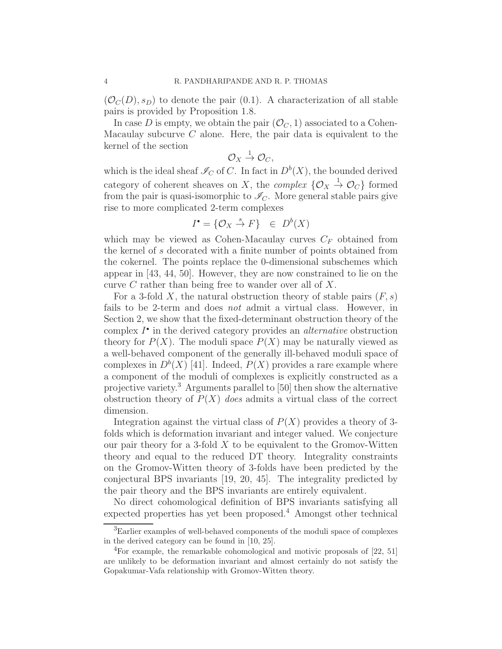$(\mathcal{O}_C(D), s_D)$  to denote the pair (0.1). A characterization of all stable pairs is provided by Proposition 1.8.

In case D is empty, we obtain the pair  $(\mathcal{O}_C, 1)$  associated to a Cohen-Macaulay subcurve  $C$  alone. Here, the pair data is equivalent to the kernel of the section

$$
\mathcal{O}_X \stackrel{1}{\rightarrow} \mathcal{O}_C,
$$

which is the ideal sheaf  $\mathcal{I}_C$  of C. In fact in  $D^b(X)$ , the bounded derived category of coherent sheaves on X, the *complex*  $\{O_X \to O_C\}$  formed from the pair is quasi-isomorphic to  $\mathcal{I}_C$ . More general stable pairs give rise to more complicated 2-term complexes

$$
I^{\bullet} = \{ \mathcal{O}_X \stackrel{s}{\to} F \} \in D^b(X)
$$

which may be viewed as Cohen-Macaulay curves  $C_F$  obtained from the kernel of s decorated with a finite number of points obtained from the cokernel. The points replace the 0-dimensional subschemes which appear in [43, 44, 50]. However, they are now constrained to lie on the curve C rather than being free to wander over all of X.

For a 3-fold X, the natural obstruction theory of stable pairs  $(F, s)$ fails to be 2-term and does not admit a virtual class. However, in Section 2, we show that the fixed-determinant obstruction theory of the complex  $I^{\bullet}$  in the derived category provides an *alternative* obstruction theory for  $P(X)$ . The moduli space  $P(X)$  may be naturally viewed as a well-behaved component of the generally ill-behaved moduli space of complexes in  $D^b(X)$  [41]. Indeed,  $P(X)$  provides a rare example where a component of the moduli of complexes is explicitly constructed as a projective variety.<sup>3</sup> Arguments parallel to [50] then show the alternative obstruction theory of  $P(X)$  does admits a virtual class of the correct dimension.

Integration against the virtual class of  $P(X)$  provides a theory of 3folds which is deformation invariant and integer valued. We conjecture our pair theory for a 3-fold  $X$  to be equivalent to the Gromov-Witten theory and equal to the reduced DT theory. Integrality constraints on the Gromov-Witten theory of 3-folds have been predicted by the conjectural BPS invariants [19, 20, 45]. The integrality predicted by the pair theory and the BPS invariants are entirely equivalent.

No direct cohomological definition of BPS invariants satisfying all expected properties has yet been proposed.<sup>4</sup> Amongst other technical

<sup>&</sup>lt;sup>3</sup>Earlier examples of well-behaved components of the moduli space of complexes in the derived category can be found in [10, 25].

 ${}^{4}$ For example, the remarkable cohomological and motivic proposals of [22, 51] are unlikely to be deformation invariant and almost certainly do not satisfy the Gopakumar-Vafa relationship with Gromov-Witten theory.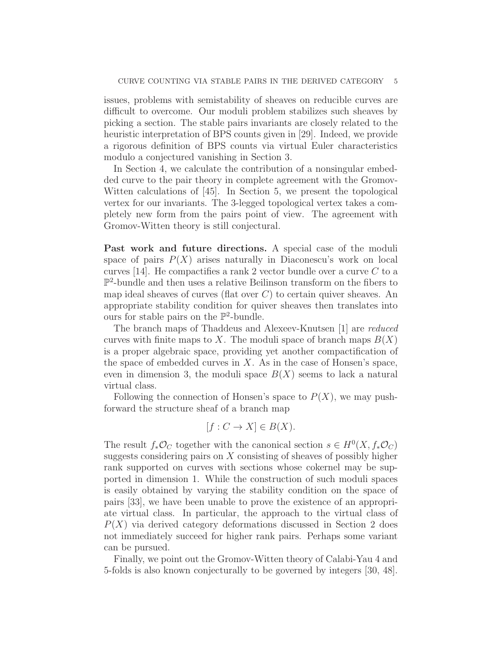issues, problems with semistability of sheaves on reducible curves are difficult to overcome. Our moduli problem stabilizes such sheaves by picking a section. The stable pairs invariants are closely related to the heuristic interpretation of BPS counts given in [29]. Indeed, we provide a rigorous definition of BPS counts via virtual Euler characteristics modulo a conjectured vanishing in Section 3.

In Section 4, we calculate the contribution of a nonsingular embedded curve to the pair theory in complete agreement with the Gromov-Witten calculations of [45]. In Section 5, we present the topological vertex for our invariants. The 3-legged topological vertex takes a completely new form from the pairs point of view. The agreement with Gromov-Witten theory is still conjectural.

Past work and future directions. A special case of the moduli space of pairs  $P(X)$  arises naturally in Diaconescu's work on local curves [14]. He compactifies a rank 2 vector bundle over a curve  $C$  to a P 2 -bundle and then uses a relative Beilinson transform on the fibers to map ideal sheaves of curves (flat over  $C$ ) to certain quiver sheaves. An appropriate stability condition for quiver sheaves then translates into ours for stable pairs on the  $\mathbb{P}^2$ -bundle.

The branch maps of Thaddeus and Alexeev-Knutsen [1] are reduced curves with finite maps to X. The moduli space of branch maps  $B(X)$ is a proper algebraic space, providing yet another compactification of the space of embedded curves in  $X$ . As in the case of Honsen's space, even in dimension 3, the moduli space  $B(X)$  seems to lack a natural virtual class.

Following the connection of Honsen's space to  $P(X)$ , we may pushforward the structure sheaf of a branch map

$$
[f: C \to X] \in B(X).
$$

The result  $f_*\mathcal{O}_C$  together with the canonical section  $s \in H^0(X, f_*\mathcal{O}_C)$ suggests considering pairs on  $X$  consisting of sheaves of possibly higher rank supported on curves with sections whose cokernel may be supported in dimension 1. While the construction of such moduli spaces is easily obtained by varying the stability condition on the space of pairs [33], we have been unable to prove the existence of an appropriate virtual class. In particular, the approach to the virtual class of  $P(X)$  via derived category deformations discussed in Section 2 does not immediately succeed for higher rank pairs. Perhaps some variant can be pursued.

Finally, we point out the Gromov-Witten theory of Calabi-Yau 4 and 5-folds is also known conjecturally to be governed by integers [30, 48].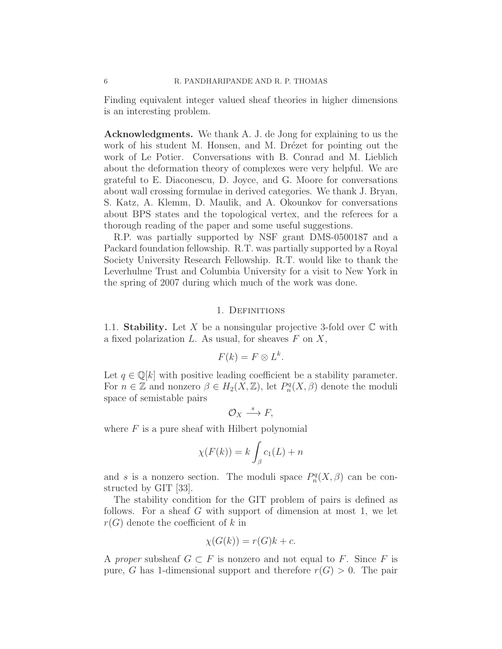Finding equivalent integer valued sheaf theories in higher dimensions is an interesting problem.

Acknowledgments. We thank A. J. de Jong for explaining to us the work of his student M. Honsen, and M. Drézet for pointing out the work of Le Potier. Conversations with B. Conrad and M. Lieblich about the deformation theory of complexes were very helpful. We are grateful to E. Diaconescu, D. Joyce, and G. Moore for conversations about wall crossing formulae in derived categories. We thank J. Bryan, S. Katz, A. Klemm, D. Maulik, and A. Okounkov for conversations about BPS states and the topological vertex, and the referees for a thorough reading of the paper and some useful suggestions.

R.P. was partially supported by NSF grant DMS-0500187 and a Packard foundation fellowship. R.T. was partially supported by a Royal Society University Research Fellowship. R.T. would like to thank the Leverhulme Trust and Columbia University for a visit to New York in the spring of 2007 during which much of the work was done.

## 1. Definitions

1.1. Stability. Let X be a nonsingular projective 3-fold over  $\mathbb C$  with a fixed polarization  $L$ . As usual, for sheaves  $F$  on  $X$ ,

$$
F(k) = F \otimes L^k.
$$

Let  $q \in \mathbb{Q}[k]$  with positive leading coefficient be a stability parameter. For  $n \in \mathbb{Z}$  and nonzero  $\beta \in H_2(X, \mathbb{Z})$ , let  $P_n^q(X, \beta)$  denote the moduli space of semistable pairs

$$
\mathcal{O}_X \stackrel{s}{\longrightarrow} F,
$$

where  $F$  is a pure sheaf with Hilbert polynomial

$$
\chi(F(k)) = k \int_{\beta} c_1(L) + n
$$

and s is a nonzero section. The moduli space  $P_n^q(X, \beta)$  can be constructed by GIT [33].

The stability condition for the GIT problem of pairs is defined as follows. For a sheaf G with support of dimension at most 1, we let  $r(G)$  denote the coefficient of k in

$$
\chi(G(k)) = r(G)k + c.
$$

A proper subsheaf  $G \subset F$  is nonzero and not equal to F. Since F is pure, G has 1-dimensional support and therefore  $r(G) > 0$ . The pair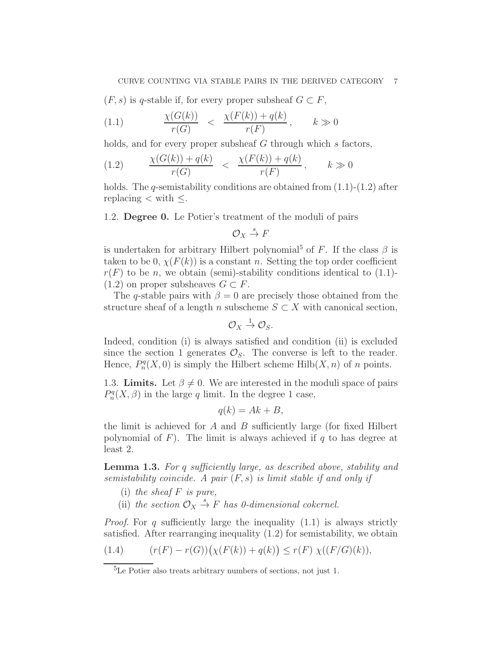$(F, s)$  is q-stable if, for every proper subsheaf  $G \subset F$ ,

$$
(1.1) \qquad \frac{\chi(G(k))}{r(G)} < \frac{\chi(F(k)) + q(k)}{r(F)}, \qquad k \gg 0
$$

holds, and for every proper subsheaf G through which s factors,

(1.2) 
$$
\frac{\chi(G(k)) + q(k)}{r(G)} < \frac{\chi(F(k)) + q(k)}{r(F)}, \qquad k \gg 0
$$

holds. The q-semistability conditions are obtained from  $(1.1)$ - $(1.2)$  after replacing  $\lt$  with  $\leq$ .

1.2. Degree 0. Le Potier's treatment of the moduli of pairs

$$
\mathcal{O}_X \stackrel{s}{\to} F
$$

is undertaken for arbitrary Hilbert polynomial<sup>5</sup> of F. If the class  $\beta$  is taken to be 0,  $\chi(F(k))$  is a constant n. Setting the top order coefficient  $r(F)$  to be n, we obtain (semi)-stability conditions identical to (1.1)- $(1.2)$  on proper subsheaves  $G \subset F$ .

The q-stable pairs with  $\beta = 0$  are precisely those obtained from the structure sheaf of a length n subscheme  $S \subset X$  with canonical section,

$$
\mathcal{O}_X \stackrel{1}{\rightarrow} \mathcal{O}_S.
$$

Indeed, condition (i) is always satisfied and condition (ii) is excluded since the section 1 generates  $\mathcal{O}_s$ . The converse is left to the reader. Hence,  $P_n^q(X,0)$  is simply the Hilbert scheme Hilb $(X,n)$  of n points.

1.3. Limits. Let  $\beta \neq 0$ . We are interested in the moduli space of pairs  $P_n^q(X, \beta)$  in the large q limit. In the degree 1 case,

$$
q(k) = Ak + B,
$$

the limit is achieved for  $A$  and  $B$  sufficiently large (for fixed Hilbert polynomial of F). The limit is always achieved if q to has degree at least 2.

**Lemma 1.3.** For q sufficiently large, as described above, stability and semistability coincide. A pair  $(F, s)$  is limit stable if and only if

- (i) the sheaf  $F$  is pure,
- (ii) the section  $\mathcal{O}_X \stackrel{s}{\rightarrow} F$  has 0-dimensional cokernel.

*Proof.* For q sufficiently large the inequality  $(1.1)$  is always strictly satisfied. After rearranging inequality (1.2) for semistability, we obtain

(1.4) 
$$
(r(F) - r(G))(\chi(F(k)) + q(k)) \le r(F) \chi((F/G)(k)),
$$

<sup>5</sup>Le Potier also treats arbitrary numbers of sections, not just 1.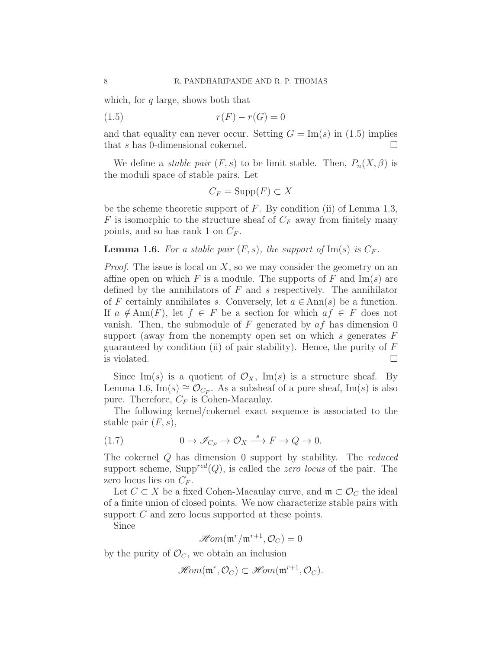which, for  $q$  large, shows both that

$$
(1.5) \t\t\t r(F) - r(G) = 0
$$

and that equality can never occur. Setting  $G = \text{Im}(s)$  in (1.5) implies that s has 0-dimensional cokernel.  $\Box$ 

We define a *stable pair*  $(F, s)$  to be limit stable. Then,  $P_n(X, \beta)$  is the moduli space of stable pairs. Let

$$
C_F = \operatorname{Supp}(F) \subset X
$$

be the scheme theoretic support of  $F$ . By condition (ii) of Lemma 1.3, F is isomorphic to the structure sheaf of  $C_F$  away from finitely many points, and so has rank 1 on  $C_F$ .

## **Lemma 1.6.** For a stable pair  $(F, s)$ , the support of  $\text{Im}(s)$  is  $C_F$ .

*Proof.* The issue is local on  $X$ , so we may consider the geometry on an affine open on which F is a module. The supports of F and  $\text{Im}(s)$  are defined by the annihilators of  $F$  and  $s$  respectively. The annihilator of F certainly annihilates s. Conversely, let  $a \in Ann(s)$  be a function. If  $a \notin Ann(F)$ , let  $f \in F$  be a section for which  $af \in F$  does not vanish. Then, the submodule of F generated by  $af$  has dimension 0 support (away from the nonempty open set on which s generates  $F$ guaranteed by condition (ii) of pair stability). Hence, the purity of  $F$ is violated.  $\Box$ 

Since Im(s) is a quotient of  $\mathcal{O}_X$ , Im(s) is a structure sheaf. By Lemma 1.6,  $\text{Im}(s) \cong \mathcal{O}_{C_F}$ . As a subsheaf of a pure sheaf,  $\text{Im}(s)$  is also pure. Therefore,  $C_F$  is Cohen-Macaulay.

The following kernel/cokernel exact sequence is associated to the stable pair  $(F, s)$ ,

(1.7) 
$$
0 \to \mathscr{I}_{C_F} \to \mathcal{O}_X \stackrel{s}{\longrightarrow} F \to Q \to 0.
$$

The cokernel Q has dimension 0 support by stability. The reduced support scheme, Supp<sup>red</sup> $(Q)$ , is called the *zero locus* of the pair. The zero locus lies on  $C_F$ .

Let  $C \subset X$  be a fixed Cohen-Macaulay curve, and  $\mathfrak{m} \subset \mathcal{O}_C$  the ideal of a finite union of closed points. We now characterize stable pairs with support C and zero locus supported at these points.

Since

 $\mathscr{H}\hspace{-1pt}\mathit{om}(\mathfrak{m}^r/\mathfrak{m}^{r+1},\mathcal{O}_C)=0$ 

by the purity of  $\mathcal{O}_C$ , we obtain an inclusion

$$
\mathscr{Hom}(\mathfrak{m}^r, \mathcal{O}_C) \subset \mathscr{Hom}(\mathfrak{m}^{r+1}, \mathcal{O}_C).
$$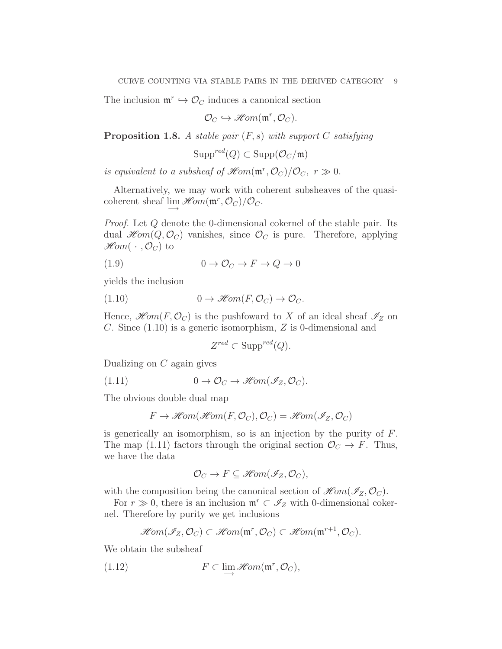The inclusion  $\mathfrak{m}^r \hookrightarrow \mathcal{O}_C$  induces a canonical section

$$
\mathcal{O}_C \hookrightarrow \mathscr{H}\!om(\mathfrak{m}^r, \mathcal{O}_C).
$$

**Proposition 1.8.** A stable pair  $(F, s)$  with support C satisfying

$$
\operatorname{Supp}^{red}(Q) \subset \operatorname{Supp}(\mathcal{O}_C/\mathfrak{m})
$$

is equivalent to a subsheaf of  $\mathscr{H}om(\mathfrak{m}^r, \mathcal{O}_C)/\mathcal{O}_C$ ,  $r \gg 0$ .

Alternatively, we may work with coherent subsheaves of the quasicoherent sheaf  $\lim_{m \to \infty} \mathcal{H}om(\mathfrak{m}^r, \mathcal{O}_C) / \mathcal{O}_C$ .

Proof. Let Q denote the 0-dimensional cokernel of the stable pair. Its dual  $\mathcal{H}om(Q, \mathcal{O}_C)$  vanishes, since  $\mathcal{O}_C$  is pure. Therefore, applying  $\mathscr{H}\!\mathit{om}(\cdot\, , \mathcal{O}_C)$  to

$$
(1.9) \t\t 0 \to \mathcal{O}_C \to F \to Q \to 0
$$

yields the inclusion

(1.10) 
$$
0 \to \mathscr{H}\!\mathit{om}(F, \mathcal{O}_C) \to \mathcal{O}_C.
$$

Hence,  $\mathcal{H}om(F,\mathcal{O}_C)$  is the pushfoward to X of an ideal sheaf  $\mathcal{I}_Z$  on C. Since (1.10) is a generic isomorphism, Z is 0-dimensional and

$$
Z^{red} \subset \text{Supp}^{red}(Q).
$$

Dualizing on  $C$  again gives

(1.11) 
$$
0 \to \mathcal{O}_C \to \mathscr{H}\!om(\mathscr{I}_Z, \mathcal{O}_C).
$$

The obvious double dual map

$$
F \to \mathscr{H}\!om(\mathscr{H}\!om(F,\mathcal{O}_C),\mathcal{O}_C) = \mathscr{H}\!om(\mathscr{I}_Z,\mathcal{O}_C)
$$

is generically an isomorphism, so is an injection by the purity of F. The map (1.11) factors through the original section  $\mathcal{O}_C \to F$ . Thus, we have the data

$$
\mathcal{O}_C \to F \subseteq \mathscr{H}\!om(\mathscr{I}_Z, \mathcal{O}_C),
$$

with the composition being the canonical section of  $\mathscr{H}\!om(\mathscr{I}_Z,\mathcal{O}_C)$ .

For  $r \gg 0$ , there is an inclusion  $\mathfrak{m}^r \subset \mathscr{I}_Z$  with 0-dimensional cokernel. Therefore by purity we get inclusions

$$
\mathscr{H}\!\mathit{om}(\mathscr{I}_Z,\mathcal{O}_C)\subset \mathscr{H}\!\mathit{om}(\mathfrak{m}^r,\mathcal{O}_C)\subset \mathscr{H}\!\mathit{om}(\mathfrak{m}^{r+1},\mathcal{O}_C).
$$

We obtain the subsheaf

(1.12) 
$$
F \subset \lim_{\longrightarrow} \mathcal{H}om(\mathfrak{m}^r, \mathcal{O}_C),
$$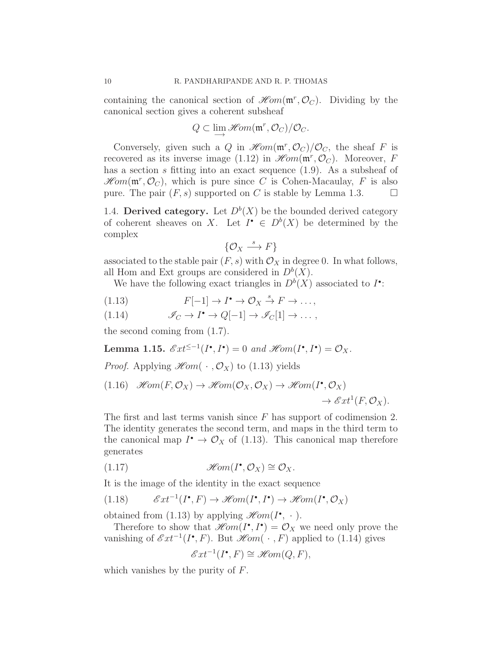containing the canonical section of  $\mathscr{H}\!om(\mathfrak{m}^r, \mathcal{O}_C)$ . Dividing by the canonical section gives a coherent subsheaf

$$
Q\subset\lim\limits_{\longrightarrow}\mathscr{H}\hspace{-1pt}\mathit{om}(\mathfrak{m}^r,\mathcal{O}_C)/\mathcal{O}_C.
$$

Conversely, given such a Q in  $\mathcal{H}om(\mathfrak{m}^r, \mathcal{O}_C)/\mathcal{O}_C$ , the sheaf F is recovered as its inverse image (1.12) in  $\mathscr{H}om(\mathfrak{m}^r, \mathcal{O}_C)$ . Moreover, F has a section s fitting into an exact sequence  $(1.9)$ . As a subsheaf of  $\mathscr{H}\!\mathit{om}(\mathfrak{m}^r, \mathcal{O}_C)$ , which is pure since C is Cohen-Macaulay, F is also pure. The pair  $(F, s)$  supported on C is stable by Lemma 1.3.

1.4. Derived category. Let  $D^b(X)$  be the bounded derived category of coherent sheaves on X. Let  $I^{\bullet} \in D^b(X)$  be determined by the complex

$$
\{\mathcal{O}_X \stackrel{s}{\longrightarrow} F\}
$$

associated to the stable pair  $(F, s)$  with  $\mathcal{O}_X$  in degree 0. In what follows, all Hom and Ext groups are considered in  $D^b(X)$ .

We have the following exact triangles in  $D^b(X)$  associated to  $I^{\bullet}$ :

(1.13) 
$$
F[-1] \to I^{\bullet} \to \mathcal{O}_X \stackrel{s}{\to} F \to \dots,
$$

(1.14) 
$$
\mathscr{I}_C \to I^{\bullet} \to Q[-1] \to \mathscr{I}_C[1] \to \dots,
$$

the second coming from (1.7).

Lemma 1.15.  $\mathscr{E}xt^{\leq -1}(I^{\bullet}, I^{\bullet}) = 0$  and  $\mathscr{H}\!om(I^{\bullet}, I^{\bullet}) = \mathcal{O}_X$ .

*Proof.* Applying  $\mathscr{H}om(\cdot,\mathcal{O}_X)$  to (1.13) yields

(1.16) 
$$
\mathscr{H}om(F, \mathcal{O}_X) \to \mathscr{H}om(\mathcal{O}_X, \mathcal{O}_X) \to \mathscr{H}om(I^{\bullet}, \mathcal{O}_X) \to \mathscr{E}xt^1(F, \mathcal{O}_X).
$$

The first and last terms vanish since  $F$  has support of codimension 2. The identity generates the second term, and maps in the third term to the canonical map  $I^{\bullet} \to \mathcal{O}_X$  of (1.13). This canonical map therefore generates

$$
(1.17) \t\t \mathscr{H}om(I^{\bullet}, \mathcal{O}_X) \cong \mathcal{O}_X.
$$

It is the image of the identity in the exact sequence

(1.18) 
$$
\mathscr{E}xt^{-1}(I^{\bullet}, F) \to \mathscr{H}\!om(I^{\bullet}, I^{\bullet}) \to \mathscr{H}\!om(I^{\bullet}, \mathcal{O}_X)
$$

obtained from (1.13) by applying  $\mathscr{H}\!om(I^{\bullet}, \cdot)$ .

Therefore to show that  $\mathscr{H}\!om(I^{\bullet}, I^{\bullet}) = \mathcal{O}_X$  we need only prove the vanishing of  $\mathscr{E}xt^{-1}(I^{\bullet}, F)$ . But  $\mathscr{H}\!om(\cdot, F)$  applied to  $(1.14)$  gives

$$
\mathscr{E}xt^{-1}(I^{\bullet}, F) \cong \mathscr{H}\!om(Q, F),
$$

which vanishes by the purity of F.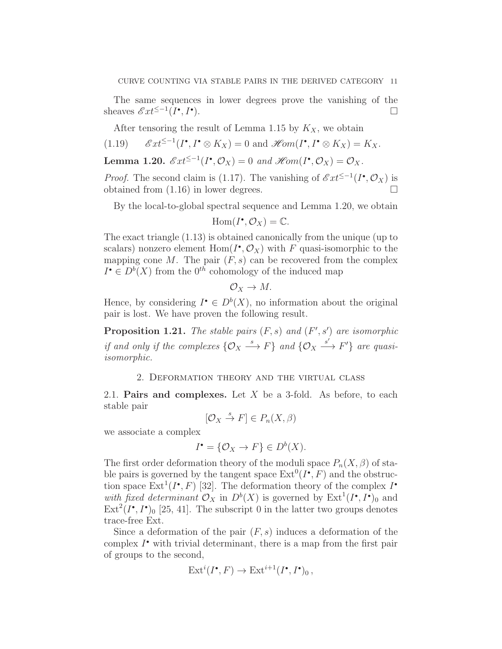The same sequences in lower degrees prove the vanishing of the sheaves  $\mathscr{E}xt^{\leq -1}(I^{\bullet}, I^{\bullet})$ ).

After tensoring the result of Lemma 1.15 by  $K_X$ , we obtain

(1.19) 
$$
\mathscr{E}xt^{\leq -1}(I^{\bullet}, I^{\bullet} \otimes K_X) = 0
$$
 and  $\mathscr{H}om(I^{\bullet}, I^{\bullet} \otimes K_X) = K_X$ .

**Lemma 1.20.**  $\mathscr{E}xt^{\leq -1}(I^{\bullet}, \mathcal{O}_X) = 0$  and  $\mathscr{H}\!om(I^{\bullet}, \mathcal{O}_X) = \mathcal{O}_X$ .

*Proof.* The second claim is (1.17). The vanishing of  $\mathscr{E}xt^{\leq -1}(I^{\bullet}, \mathcal{O}_X)$  is obtained from (1.16) in lower degrees.

By the local-to-global spectral sequence and Lemma 1.20, we obtain

$$
\operatorname{Hom}(I^{\bullet}, \mathcal{O}_X) = \mathbb{C}.
$$

The exact triangle (1.13) is obtained canonically from the unique (up to scalars) nonzero element  $Hom(I^{\bullet}, \mathcal{O}_X)$  with F quasi-isomorphic to the mapping cone  $M$ . The pair  $(F, s)$  can be recovered from the complex  $I^{\bullet} \in D^b(X)$  from the  $0^{th}$  cohomology of the induced map

$$
\mathcal{O}_X \to M.
$$

Hence, by considering  $I^{\bullet} \in D^b(X)$ , no information about the original pair is lost. We have proven the following result.

**Proposition 1.21.** The stable pairs  $(F, s)$  and  $(F', s')$  are isomorphic if and only if the complexes  $\{ \mathcal{O}_X \stackrel{s}{\longrightarrow} F \}$  and  $\{ \mathcal{O}_X \stackrel{s'}{\longrightarrow} F' \}$  are quasiisomorphic.

## 2. Deformation theory and the virtual class

2.1. Pairs and complexes. Let  $X$  be a 3-fold. As before, to each stable pair

$$
[\mathcal{O}_X \stackrel{s}{\to} F] \in P_n(X, \beta)
$$

we associate a complex

$$
I^{\bullet} = \{ \mathcal{O}_X \to F \} \in D^b(X).
$$

The first order deformation theory of the moduli space  $P_n(X, \beta)$  of stable pairs is governed by the tangent space  $\text{Ext}^0(I^{\bullet}, F)$  and the obstruction space  $\text{Ext}^1(I^{\bullet}, F)$  [32]. The deformation theory of the complex  $I^{\bullet}$ with fixed determinant  $\mathcal{O}_X$  in  $D^b(X)$  is governed by  $\text{Ext}^1(I^{\bullet}, I^{\bullet})_0$  and  $\text{Ext}^2(I^{\bullet}, I^{\bullet})_0$  [25, 41]. The subscript 0 in the latter two groups denotes trace-free Ext.

Since a deformation of the pair  $(F, s)$  induces a deformation of the complex  $I^{\bullet}$  with trivial determinant, there is a map from the first pair of groups to the second,

$$
Ext^i(I^{\bullet}, F) \to Ext^{i+1}(I^{\bullet}, I^{\bullet})_0,
$$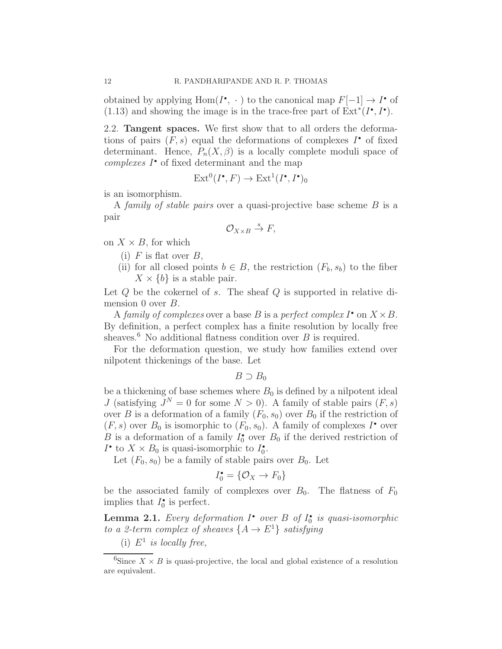obtained by applying  $Hom(I^{\bullet}, \cdot)$  to the canonical map  $F[-1] \to I^{\bullet}$  of (1.13) and showing the image is in the trace-free part of  $\text{Ext}^*(I^{\bullet}, I^{\bullet})$ .

2.2. Tangent spaces. We first show that to all orders the deformations of pairs  $(F, s)$  equal the deformations of complexes  $I^{\bullet}$  of fixed determinant. Hence,  $P_n(X, \beta)$  is a locally complete moduli space of complexes  $I^{\bullet}$  of fixed determinant and the map

$$
\text{Ext}^0(I^\bullet, F) \to \text{Ext}^1(I^\bullet, I^\bullet)_0
$$

is an isomorphism.

A family of stable pairs over a quasi-projective base scheme  $B$  is a pair

$$
\mathcal{O}_{X\times B}\stackrel{s}{\to}F,
$$

on  $X \times B$ , for which

- (i)  $F$  is flat over  $B$ ,
- (ii) for all closed points  $b \in B$ , the restriction  $(F_b, s_b)$  to the fiber  $X \times \{b\}$  is a stable pair.

Let  $Q$  be the cokernel of  $s$ . The sheaf  $Q$  is supported in relative dimension 0 over *B*.

A family of complexes over a base B is a perfect complex  $I^{\bullet}$  on  $X \times B$ . By definition, a perfect complex has a finite resolution by locally free sheaves.<sup>6</sup> No additional flatness condition over  $B$  is required.

For the deformation question, we study how families extend over nilpotent thickenings of the base. Let

 $B \supset B_0$ 

be a thickening of base schemes where  $B_0$  is defined by a nilpotent ideal J (satisfying  $J^N = 0$  for some  $N > 0$ ). A family of stable pairs  $(F, s)$ over B is a deformation of a family  $(F_0, s_0)$  over  $B_0$  if the restriction of  $(F, s)$  over  $B_0$  is isomorphic to  $(F_0, s_0)$ . A family of complexes  $I^{\bullet}$  over B is a deformation of a family  $I_0^{\bullet}$  over  $B_0$  if the derived restriction of  $I^{\bullet}$  to  $X \times B_0$  is quasi-isomorphic to  $I_0^{\bullet}$ .

Let  $(F_0, s_0)$  be a family of stable pairs over  $B_0$ . Let

$$
I_0^{\bullet} = \{ \mathcal{O}_X \to F_0 \}
$$

be the associated family of complexes over  $B_0$ . The flatness of  $F_0$ implies that  $I_0^{\bullet}$  is perfect.

**Lemma 2.1.** Every deformation  $I^{\bullet}$  over  $B$  of  $I_0^{\bullet}$  is quasi-isomorphic to a 2-term complex of sheaves  $\{A \to E^1\}$  satisfying

(i)  $E^1$  is locally free,

<sup>6</sup>Since  $X \times B$  is quasi-projective, the local and global existence of a resolution are equivalent.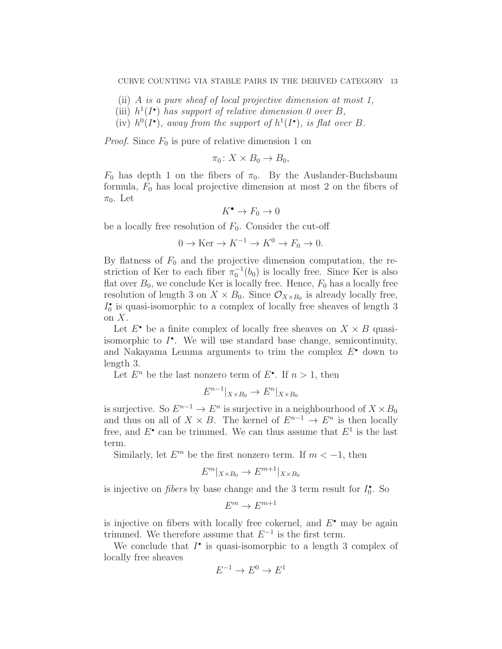(ii) A is a pure sheaf of local projective dimension at most 1,

- (iii)  $h^1(I^{\bullet})$  has support of relative dimension 0 over B,
- (iv)  $h^0(I^{\bullet})$ , away from the support of  $h^1(I^{\bullet})$ , is flat over B.

*Proof.* Since  $F_0$  is pure of relative dimension 1 on

$$
\pi_0\colon X\times B_0\to B_0,
$$

 $F_0$  has depth 1 on the fibers of  $\pi_0$ . By the Auslander-Buchsbaum formula,  $F_0$  has local projective dimension at most 2 on the fibers of  $\pi_0$ . Let

$$
K^\bullet \to F_0 \to 0
$$

be a locally free resolution of  $F_0$ . Consider the cut-off

$$
0 \to \text{Ker} \to K^{-1} \to K^0 \to F_0 \to 0.
$$

By flatness of  $F_0$  and the projective dimension computation, the restriction of Ker to each fiber  $\pi_0^{-1}(b_0)$  is locally free. Since Ker is also flat over  $B_0$ , we conclude Ker is locally free. Hence,  $F_0$  has a locally free resolution of length 3 on  $X \times B_0$ . Since  $\mathcal{O}_{X \times B_0}$  is already locally free,  $I_0^\bullet$  is quasi-isomorphic to a complex of locally free sheaves of length  $3$ on  $X$ .

Let  $E^{\bullet}$  be a finite complex of locally free sheaves on  $X \times B$  quasiisomorphic to  $I^{\bullet}$ . We will use standard base change, semicontinuity, and Nakayama Lemma arguments to trim the complex  $E^{\bullet}$  down to length 3.

Let  $E^n$  be the last nonzero term of  $E^{\bullet}$ . If  $n > 1$ , then

$$
E^{n-1}|_{X \times B_0} \to E^n|_{X \times B_0}
$$

is surjective. So  $E^{n-1} \to E^n$  is surjective in a neighbourhood of  $X \times B_0$ and thus on all of  $X \times B$ . The kernel of  $E^{n-1} \to E^n$  is then locally free, and  $E^{\bullet}$  can be trimmed. We can thus assume that  $E^1$  is the last term.

Similarly, let  $E^m$  be the first nonzero term. If  $m < -1$ , then

$$
E^m|_{X \times B_0} \to E^{m+1}|_{X \times B_0}
$$

is injective on *fibers* by base change and the 3 term result for  $I_0^{\bullet}$ . So

$$
E^m\to E^{m+1}
$$

is injective on fibers with locally free cokernel, and  $E^{\bullet}$  may be again trimmed. We therefore assume that  $E^{-1}$  is the first term.

We conclude that  $I^{\bullet}$  is quasi-isomorphic to a length 3 complex of locally free sheaves

$$
E^{-1} \to E^0 \to E^1
$$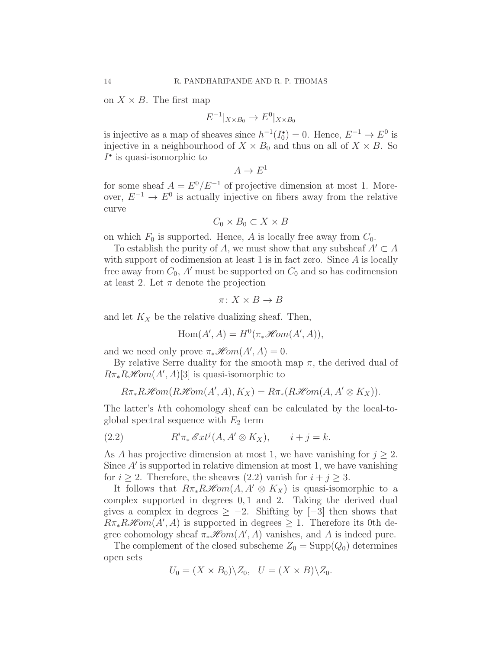on  $X \times B$ . The first map

$$
E^{-1}|_{X \times B_0} \to E^0|_{X \times B_0}
$$

is injective as a map of sheaves since  $h^{-1}(I_0^{\bullet}) = 0$ . Hence,  $E^{-1} \to E^0$  is injective in a neighbourhood of  $X \times B_0$  and thus on all of  $X \times B$ . So  $I^{\bullet}$  is quasi-isomorphic to

$$
A \to E^1
$$

for some sheaf  $A = E^0/E^{-1}$  of projective dimension at most 1. Moreover,  $E^{-1} \to E^0$  is actually injective on fibers away from the relative curve

$$
C_0 \times B_0 \subset X \times B
$$

on which  $F_0$  is supported. Hence, A is locally free away from  $C_0$ .

To establish the purity of A, we must show that any subsheaf  $A' \subset A$ with support of codimension at least 1 is in fact zero. Since A is locally free away from  $C_0$ , A' must be supported on  $C_0$  and so has codimension at least 2. Let  $\pi$  denote the projection

$$
\pi \colon X \times B \to B
$$

and let  $K_X$  be the relative dualizing sheaf. Then,

$$
Hom(A', A) = H^0(\pi_* \mathcal{H}om(A', A)),
$$

and we need only prove  $\pi_*\mathscr{H}\!\mathit{om}(A',A) = 0.$ 

By relative Serre duality for the smooth map  $\pi$ , the derived dual of  $R\pi_*R\mathscr{H}\!\mathit{om}(A',A)[3]$  is quasi-isomorphic to

$$
R\pi_*R\mathcal{H}om(R\mathcal{H}om(A',A),K_X)=R\pi_*(R\mathcal{H}om(A,A'\otimes K_X)).
$$

The latter's kth cohomology sheaf can be calculated by the local-toglobal spectral sequence with  $E_2$  term

(2.2) 
$$
R^i \pi_* \mathscr{E}xt^j (A, A' \otimes K_X), \qquad i + j = k.
$$

As A has projective dimension at most 1, we have vanishing for  $j \geq 2$ . Since  $A'$  is supported in relative dimension at most 1, we have vanishing for  $i \geq 2$ . Therefore, the sheaves (2.2) vanish for  $i + j \geq 3$ .

It follows that  $R\pi_*R\mathcal{H}om(A, A' \otimes K_X)$  is quasi-isomorphic to a complex supported in degrees 0, 1 and 2. Taking the derived dual gives a complex in degrees  $\geq -2$ . Shifting by [-3] then shows that  $R\pi_*R\mathcal{H}om(A',A)$  is supported in degrees  $\geq 1$ . Therefore its 0th degree cohomology sheaf  $\pi_*\mathcal{H}om(A',A)$  vanishes, and A is indeed pure.

The complement of the closed subscheme  $Z_0 = \text{Supp}(Q_0)$  determines open sets

$$
U_0 = (X \times B_0) \backslash Z_0, \quad U = (X \times B) \backslash Z_0.
$$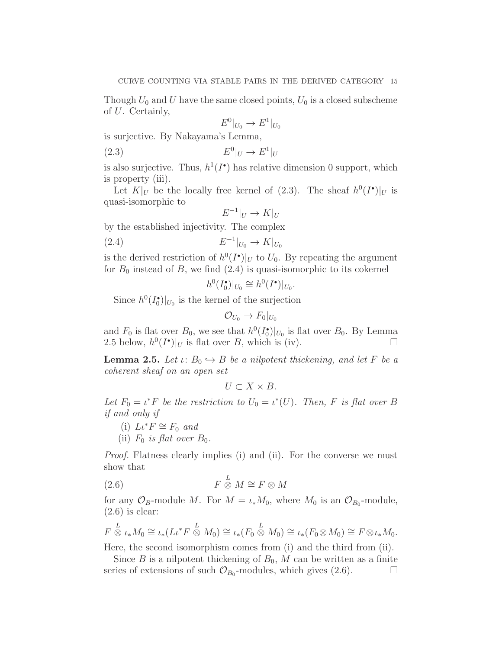Though  $U_0$  and U have the same closed points,  $U_0$  is a closed subscheme of U. Certainly,

$$
E^0|_{U_0}\to E^1|_{U_0}
$$

is surjective. By Nakayama's Lemma,

$$
(2.3) \t\t\t E0|U \to E1|U
$$

is also surjective. Thus,  $h^1(I^{\bullet})$  has relative dimension 0 support, which is property (iii).

Let  $K|_U$  be the locally free kernel of (2.3). The sheaf  $h^0(I^{\bullet})|_U$  is quasi-isomorphic to

$$
E^{-1}|_U \to K|_U
$$

by the established injectivity. The complex

$$
(2.4) \t\t\t E^{-1}|_{U_0} \to K|_{U_0}
$$

is the derived restriction of  $h^0(I^{\bullet})|_U$  to  $U_0$ . By repeating the argument for  $B_0$  instead of B, we find  $(2.4)$  is quasi-isomorphic to its cokernel

$$
h^0(I_0^{\bullet})|_{U_0} \cong h^0(I^{\bullet})|_{U_0}.
$$

Since  $h^0(I_0^{\bullet})|_{U_0}$  is the kernel of the surjection

$$
\mathcal{O}_{U_0}\to F_0|_{U_0}
$$

and  $F_0$  is flat over  $B_0$ , we see that  $h^0(I_0^{\bullet})|_{U_0}$  is flat over  $B_0$ . By Lemma 2.5 below,  $h^0(I^{\bullet})|_U$  is flat over B, which is (iv).

**Lemma 2.5.** Let  $\iota: B_0 \hookrightarrow B$  be a nilpotent thickening, and let F be a coherent sheaf on an open set

$$
U\subset X\times B.
$$

Let  $F_0 = \iota^* F$  be the restriction to  $U_0 = \iota^*(U)$ . Then, F is flat over B if and only if

- (i)  $L \iota^* F \cong F_0$  and
- (ii)  $F_0$  is flat over  $B_0$ .

Proof. Flatness clearly implies (i) and (ii). For the converse we must show that

$$
(2.6) \t\t F \stackrel{L}{\otimes} M \cong F \otimes M
$$

for any  $\mathcal{O}_B$ -module M. For  $M = \iota_* M_0$ , where  $M_0$  is an  $\mathcal{O}_{B_0}$ -module,  $(2.6)$  is clear:

$$
F\stackrel{L}{\otimes} \iota_* M_0 \cong \iota_*(L\iota^* F\stackrel{L}{\otimes} M_0) \cong \iota_*(F_0\stackrel{L}{\otimes} M_0) \cong \iota_*(F_0\otimes M_0) \cong F\otimes \iota_* M_0.
$$

Here, the second isomorphism comes from (i) and the third from (ii).

Since B is a nilpotent thickening of  $B_0$ , M can be written as a finite series of extensions of such  $\mathcal{O}_{B_0}$ -modules, which gives (2.6).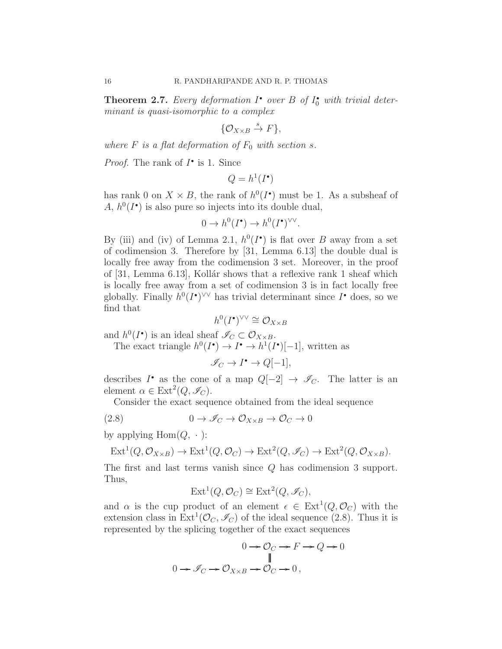**Theorem 2.7.** Every deformation  $I^{\bullet}$  over  $B$  of  $I_0^{\bullet}$  with trivial determinant is quasi-isomorphic to a complex

$$
\{\mathcal{O}_{X\times B}\overset{s}{\to} F\},\
$$

where  $F$  is a flat deformation of  $F_0$  with section s.

*Proof.* The rank of  $I^{\bullet}$  is 1. Since

$$
Q = h^1(I^{\bullet})
$$

has rank 0 on  $X \times B$ , the rank of  $h^0(I^{\bullet})$  must be 1. As a subsheaf of A,  $h^0(I^{\bullet})$  is also pure so injects into its double dual,

$$
0 \to h^0(I^{\bullet}) \to h^0(I^{\bullet})^{\vee \vee}.
$$

By (iii) and (iv) of Lemma 2.1,  $h^0(I^{\bullet})$  is flat over B away from a set of codimension 3. Therefore by [31, Lemma 6.13] the double dual is locally free away from the codimension 3 set. Moreover, in the proof of [31, Lemma 6.13], Kollár shows that a reflexive rank 1 sheaf which is locally free away from a set of codimension 3 is in fact locally free globally. Finally  $h^0(I^{\bullet})^{\vee\vee}$  has trivial determinant since  $I^{\bullet}$  does, so we find that

$$
h^0(I^{\bullet})^{\vee\vee} \cong \mathcal{O}_{X \times B}
$$

and  $h^0(I^{\bullet})$  is an ideal sheaf  $\mathscr{I}_C \subset \mathcal{O}_{X \times B}$ .

The exact triangle  $h^0(I^{\bullet}) \to I^{\bullet} \to h^1(I^{\bullet})[-1]$ , written as

$$
\mathscr{I}_C \to I^{\bullet} \to Q[-1],
$$

describes  $I^{\bullet}$  as the cone of a map  $Q[-2] \rightarrow \mathscr{I}_C$ . The latter is an element  $\alpha \in \text{Ext}^2(Q, \mathscr{I}_C)$ .

Consider the exact sequence obtained from the ideal sequence

(2.8) 
$$
0 \to \mathscr{I}_C \to \mathcal{O}_{X \times B} \to \mathcal{O}_C \to 0
$$

by applying  $Hom(Q, \cdot)$ :

$$
\mathrm{Ext}^1(Q, \mathcal{O}_{X \times B}) \to \mathrm{Ext}^1(Q, \mathcal{O}_C) \to \mathrm{Ext}^2(Q, \mathscr{I}_C) \to \mathrm{Ext}^2(Q, \mathcal{O}_{X \times B}).
$$

The first and last terms vanish since Q has codimension 3 support. Thus,

$$
Ext^1(Q, \mathcal{O}_C) \cong Ext^2(Q, \mathscr{I}_C),
$$

and  $\alpha$  is the cup product of an element  $\epsilon \in \text{Ext}^1(Q, \mathcal{O}_C)$  with the extension class in  $\text{Ext}^1(\mathcal{O}_C, \mathcal{I}_C)$  of the ideal sequence (2.8). Thus it is represented by the splicing together of the exact sequences

$$
0 \to \mathcal{O}_C \to F \to Q \to 0
$$
  

$$
\parallel
$$
  

$$
0 \to \mathcal{I}_C \to \mathcal{O}_{X \times B} \to \mathcal{O}_C \to 0,
$$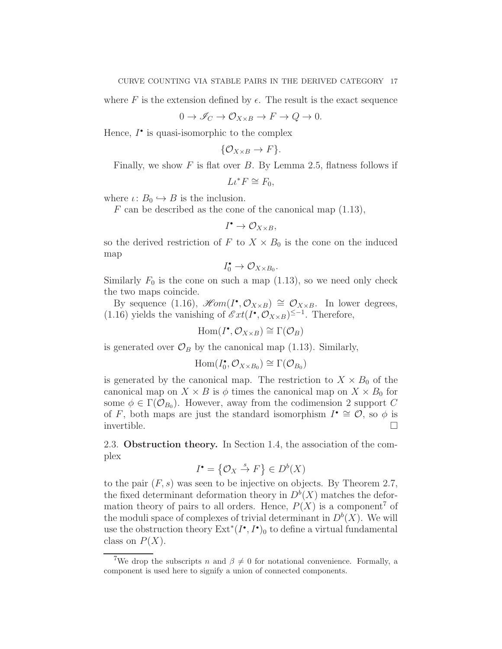where F is the extension defined by  $\epsilon$ . The result is the exact sequence

$$
0 \to \mathscr{I}_C \to \mathcal{O}_{X \times B} \to F \to Q \to 0.
$$

Hence,  $I^{\bullet}$  is quasi-isomorphic to the complex

$$
\{\mathcal{O}_{X\times B}\to F\}.
$$

Finally, we show  $F$  is flat over  $B$ . By Lemma 2.5, flatness follows if

$$
L\iota^* F \cong F_0,
$$

where  $\iota: B_0 \hookrightarrow B$  is the inclusion.

F can be described as the cone of the canonical map  $(1.13)$ ,

$$
I^{\bullet}\rightarrow \mathcal{O}_{X\times B},
$$

so the derived restriction of F to  $X \times B_0$  is the cone on the induced map

$$
I_0^{\bullet} \to \mathcal{O}_{X \times B_0}.
$$

Similarly  $F_0$  is the cone on such a map (1.13), so we need only check the two maps coincide.

By sequence (1.16),  $\mathscr{H}\!om(I^{\bullet}, \mathcal{O}_{X\times B}) \cong \mathcal{O}_{X\times B}$ . In lower degrees, (1.16) yields the vanishing of  $\mathscr{E}xt(I^{\bullet}, \mathcal{O}_{X\times B})^{\leq -1}$ . Therefore,

 $\text{Hom}(I^{\bullet}, \mathcal{O}_{X \times B}) \cong \Gamma(\mathcal{O}_B)$ 

is generated over  $\mathcal{O}_B$  by the canonical map (1.13). Similarly,

$$
\operatorname{Hom}(I_0^{\bullet}, \mathcal{O}_{X \times B_0}) \cong \Gamma(\mathcal{O}_{B_0})
$$

is generated by the canonical map. The restriction to  $X \times B_0$  of the canonical map on  $X \times B$  is  $\phi$  times the canonical map on  $X \times B_0$  for some  $\phi \in \Gamma(\mathcal{O}_{B_0})$ . However, away from the codimension 2 support C of F, both maps are just the standard isomorphism  $I^{\bullet} \cong \mathcal{O}$ , so  $\phi$  is invertible.  $\Box$ 

2.3. Obstruction theory. In Section 1.4, the association of the complex

$$
I^{\bullet} = \{ \mathcal{O}_X \stackrel{s}{\to} F \} \in D^b(X)
$$

to the pair  $(F, s)$  was seen to be injective on objects. By Theorem 2.7, the fixed determinant deformation theory in  $D^b(X)$  matches the deformation theory of pairs to all orders. Hence,  $P(X)$  is a component<sup>7</sup> of the moduli space of complexes of trivial determinant in  $D<sup>b</sup>(X)$ . We will use the obstruction theory  $\mathrm{Ext}^*(I^{\bullet}, I^{\bullet})_0$  to define a virtual fundamental class on  $P(X)$ .

<sup>&</sup>lt;sup>7</sup>We drop the subscripts n and  $\beta \neq 0$  for notational convenience. Formally, a component is used here to signify a union of connected components.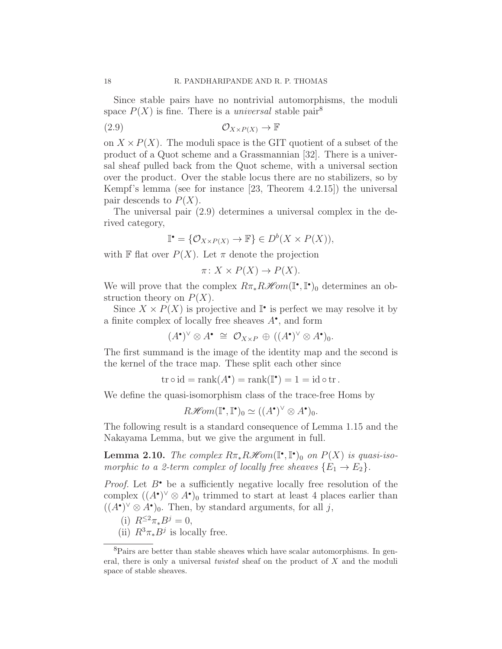Since stable pairs have no nontrivial automorphisms, the moduli space  $P(X)$  is fine. There is a *universal* stable pair<sup>8</sup>

$$
(2.9) \t\t \t\t \mathcal{O}_{X \times P(X)} \to \mathbb{F}
$$

on  $X \times P(X)$ . The moduli space is the GIT quotient of a subset of the product of a Quot scheme and a Grassmannian [32]. There is a universal sheaf pulled back from the Quot scheme, with a universal section over the product. Over the stable locus there are no stabilizers, so by Kempf's lemma (see for instance [23, Theorem 4.2.15]) the universal pair descends to  $P(X)$ .

The universal pair (2.9) determines a universal complex in the derived category,

$$
\mathbb{I}^{\bullet} = \{ \mathcal{O}_{X \times P(X)} \to \mathbb{F} \} \in D^b(X \times P(X)),
$$

with F flat over  $P(X)$ . Let  $\pi$  denote the projection

$$
\pi \colon X \times P(X) \to P(X).
$$

We will prove that the complex  $R\pi_* R\mathscr{H}\!\mathit{om}(\mathbb{I}^\bullet, \mathbb{I}^\bullet)_0$  determines an obstruction theory on  $P(X)$ .

Since  $X \times P(X)$  is projective and  $\mathbb{I}^{\bullet}$  is perfect we may resolve it by a finite complex of locally free sheaves  $A^{\bullet}$ , and form

$$
(A^{\bullet})^{\vee} \otimes A^{\bullet} \cong \mathcal{O}_{X \times P} \oplus ((A^{\bullet})^{\vee} \otimes A^{\bullet})_0.
$$

The first summand is the image of the identity map and the second is the kernel of the trace map. These split each other since

$$
\operatorname{tr} \circ \operatorname{id} = \operatorname{rank}(A^{\bullet}) = \operatorname{rank}(\mathbb{I}^{\bullet}) = 1 = \operatorname{id} \circ \operatorname{tr}.
$$

We define the quasi-isomorphism class of the trace-free Homs by

$$
R\mathscr{H}\!\mathit{om}(\mathbb{I}^\bullet,\mathbb{I}^\bullet)_{0} \simeq ((A^\bullet)^\vee \otimes A^\bullet)_{0}.
$$

The following result is a standard consequence of Lemma 1.15 and the Nakayama Lemma, but we give the argument in full.

**Lemma 2.10.** The complex  $R\pi_* R\mathcal{H}$ om( $\mathbb{I}^\bullet$ , $\mathbb{I}^\bullet$ )<sub>0</sub> on  $P(X)$  is quasi-isomorphic to a 2-term complex of locally free sheaves  $\{E_1 \rightarrow E_2\}.$ 

*Proof.* Let  $B^{\bullet}$  be a sufficiently negative locally free resolution of the complex  $((A^{\bullet})^{\vee} \otimes A^{\bullet})_0$  trimmed to start at least 4 places earlier than  $((A^{\bullet})^{\vee} \otimes A^{\bullet})_0$ . Then, by standard arguments, for all j,

- (i)  $R^{\leq 2}\pi_*B^j=0$ ,
- (ii)  $R^3 \pi_* B^j$  is locally free.

<sup>8</sup>Pairs are better than stable sheaves which have scalar automorphisms. In general, there is only a universal *twisted* sheaf on the product of X and the moduli space of stable sheaves.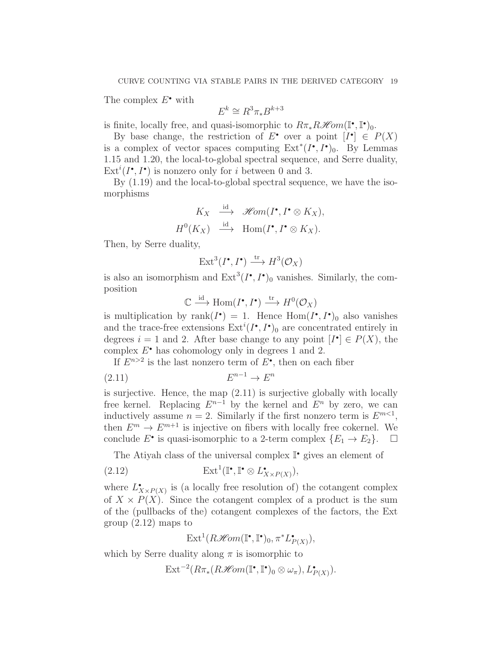The complex  $E^{\bullet}$  with

 $E^k \cong R^3 \pi_* B^{k+3}$ 

is finite, locally free, and quasi-isomorphic to  $R\pi_* R\mathscr{H}om(\mathbb{I}^\bullet, \mathbb{I}^\bullet)_0$ .

By base change, the restriction of  $E^{\bullet}$  over a point  $[I^{\bullet}] \in P(X)$ is a complex of vector spaces computing  $Ext^*(I^{\bullet}, I^{\bullet})_0$ . By Lemmas 1.15 and 1.20, the local-to-global spectral sequence, and Serre duality,  $\text{Ext}^i(I^{\bullet}, I^{\bullet})$  is nonzero only for *i* between 0 and 3.

By (1.19) and the local-to-global spectral sequence, we have the isomorphisms

$$
K_X \stackrel{\text{id}}{\longrightarrow} \mathscr{H}\!\mathit{om}(I^\bullet, I^\bullet \otimes K_X),
$$
  

$$
H^0(K_X) \stackrel{\text{id}}{\longrightarrow} \text{Hom}(I^\bullet, I^\bullet \otimes K_X).
$$

Then, by Serre duality,

$$
\text{Ext}^3(I^\bullet, I^\bullet) \xrightarrow{\text{tr}} H^3(\mathcal{O}_X)
$$

is also an isomorphism and  $\text{Ext}^3(I^{\bullet}, I^{\bullet})_0$  vanishes. Similarly, the composition

$$
\mathbb{C} \xrightarrow{\mathrm{id}} \mathrm{Hom}(I^{\bullet}, I^{\bullet}) \xrightarrow{\mathrm{tr}} H^0(\mathcal{O}_X)
$$

is multiplication by rank $(I^{\bullet}) = 1$ . Hence  $Hom(I^{\bullet}, I^{\bullet})$  also vanishes and the trace-free extensions  $\text{Ext}^i(I^{\bullet}, I^{\bullet})_0$  are concentrated entirely in degrees  $i = 1$  and 2. After base change to any point  $[I^{\bullet}] \in P(X)$ , the complex  $E^{\bullet}$  has cohomology only in degrees 1 and 2.

If  $E^{n>2}$  is the last nonzero term of  $E^{\bullet}$ , then on each fiber

$$
(2.11) \t\t\t E^{n-1} \to E^n
$$

is surjective. Hence, the map (2.11) is surjective globally with locally free kernel. Replacing  $E^{n-1}$  by the kernel and  $E^n$  by zero, we can inductively assume  $n = 2$ . Similarly if the first nonzero term is  $E^{m<1}$ , then  $E^m \to E^{m+1}$  is injective on fibers with locally free cokernel. We conclude  $E^{\bullet}$  is quasi-isomorphic to a 2-term complex  $\{E_1 \to E_2\}.$   $\Box$ 

The Atiyah class of the universal complex  $\mathbb{I}^{\bullet}$  gives an element of

(2.12) 
$$
\operatorname{Ext}^1(\mathbb{I}^\bullet, \mathbb{I}^\bullet \otimes L^\bullet_{X \times P(X)}),
$$

where  $L^{\bullet}_{X\times P(X)}$  is (a locally free resolution of) the cotangent complex of  $X \times P(X)$ . Since the cotangent complex of a product is the sum of the (pullbacks of the) cotangent complexes of the factors, the Ext group (2.12) maps to

 $\text{Ext}^1(R\mathcal{H}om(\mathbb{I}^\bullet,\mathbb{I}^\bullet)_0,\pi^*L^\bullet_{P(X)}),$ 

which by Serre duality along  $\pi$  is isomorphic to

 $\text{Ext}^{-2}(R\pi_*(R\mathscr{H}\!\mathit{om}(\mathbb{I}^\bullet,\mathbb{I}^\bullet)_0\otimes\omega_\pi),L^{\bullet}_{P(X)}).$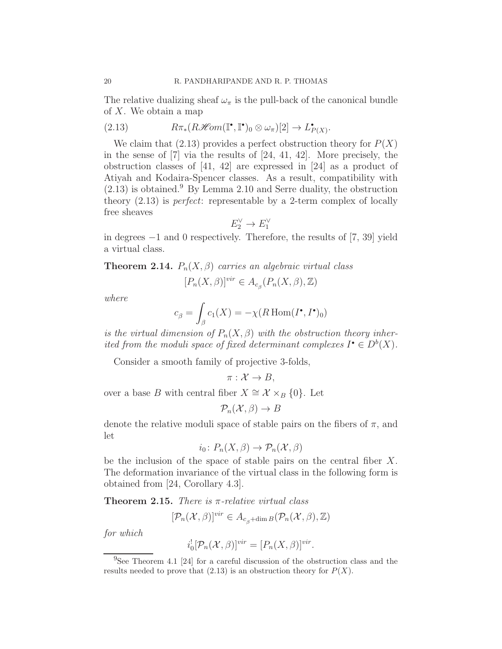The relative dualizing sheaf  $\omega_{\pi}$  is the pull-back of the canonical bundle of  $X$ . We obtain a map

(2.13) 
$$
R\pi_*(R\mathscr{H}\!\mathit{om}(\mathbb{I}^\bullet,\mathbb{I}^\bullet)_0\otimes\omega_\pi)[2]\to L_{P(X)}^\bullet.
$$

We claim that  $(2.13)$  provides a perfect obstruction theory for  $P(X)$ in the sense of [7] via the results of [24, 41, 42]. More precisely, the obstruction classes of [41, 42] are expressed in [24] as a product of Atiyah and Kodaira-Spencer classes. As a result, compatibility with  $(2.13)$  is obtained.<sup>9</sup> By Lemma 2.10 and Serre duality, the obstruction theory (2.13) is perfect: representable by a 2-term complex of locally free sheaves

$$
E_2^\vee \to E_1^\vee
$$

in degrees −1 and 0 respectively. Therefore, the results of [7, 39] yield a virtual class.

**Theorem 2.14.**  $P_n(X, \beta)$  carries an algebraic virtual class

$$
[P_n(X, \beta)]^{vir} \in A_{c_{\beta}}(P_n(X, \beta), \mathbb{Z})
$$

where

$$
c_{\beta} = \int_{\beta} c_1(X) = -\chi(R \operatorname{Hom}(I^{\bullet}, I^{\bullet})_0)
$$

is the virtual dimension of  $P_n(X, \beta)$  with the obstruction theory inherited from the moduli space of fixed determinant complexes  $I^{\bullet} \in D^b(X)$ .

Consider a smooth family of projective 3-folds,

$$
\pi: \mathcal{X} \to B,
$$

over a base B with central fiber  $X \cong \mathcal{X} \times_B \{0\}$ . Let

$$
\mathcal{P}_n(\mathcal{X}, \beta) \to B
$$

denote the relative moduli space of stable pairs on the fibers of  $\pi$ , and let

$$
i_0\colon P_n(X,\beta)\to P_n(\mathcal{X},\beta)
$$

be the inclusion of the space of stable pairs on the central fiber X. The deformation invariance of the virtual class in the following form is obtained from [24, Corollary 4.3].

**Theorem 2.15.** There is  $\pi$ -relative virtual class

$$
[\mathcal{P}_n(\mathcal{X}, \beta)]^{vir} \in A_{c_{\beta} + \dim B}(\mathcal{P}_n(\mathcal{X}, \beta), \mathbb{Z})
$$

for which

$$
i_0^![\mathcal{P}_n(\mathcal{X}, \beta)]^{vir} = [P_n(X, \beta)]^{vir}.
$$

<sup>9</sup>See Theorem 4.1 [24] for a careful discussion of the obstruction class and the results needed to prove that  $(2.13)$  is an obstruction theory for  $P(X)$ .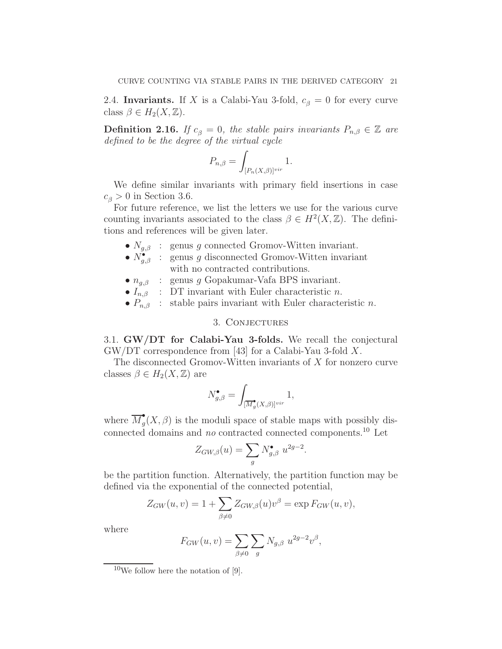2.4. Invariants. If X is a Calabi-Yau 3-fold,  $c_{\beta} = 0$  for every curve class  $\beta \in H_2(X, \mathbb{Z})$ .

**Definition 2.16.** If  $c_{\beta} = 0$ , the stable pairs invariants  $P_{n,\beta} \in \mathbb{Z}$  are defined to be the degree of the virtual cycle

$$
P_{n,\beta} = \int_{[P_n(X,\beta)]^{vir}} 1.
$$

We define similar invariants with primary field insertions in case  $c_{\beta} > 0$  in Section 3.6.

For future reference, we list the letters we use for the various curve counting invariants associated to the class  $\beta \in H^2(X,\mathbb{Z})$ . The definitions and references will be given later.

- $N_{g,\beta}$  : genus g connected Gromov-Witten invariant.
- $N_{g,\beta}^{\bullet}$ : genus g disconnected Gromov-Witten invariant with no contracted contributions.
- $n_{a,\beta}$  : genus g Gopakumar-Vafa BPS invariant.
- $I_{n,\beta}$  : DT invariant with Euler characteristic n.
- $P_{n,\beta}$  : stable pairs invariant with Euler characteristic n.

#### 3. Conjectures

3.1. GW/DT for Calabi-Yau 3-folds. We recall the conjectural GW/DT correspondence from [43] for a Calabi-Yau 3-fold X.

The disconnected Gromov-Witten invariants of X for nonzero curve classes  $\beta \in H_2(X, \mathbb{Z})$  are

$$
N_{g,\beta}^{\bullet} = \int_{[\overline{M}_g^{\bullet}(X,\beta)]^{vir}} 1,
$$

where  $\overline{M}_q^{\bullet}$  $\mathcal{L}_g(X,\beta)$  is the moduli space of stable maps with possibly disconnected domains and  $no$  contracted connected components.<sup>10</sup> Let

$$
Z_{GW,\beta}(u) = \sum_{g} N_{g,\beta}^{\bullet} u^{2g-2}.
$$

be the partition function. Alternatively, the partition function may be defined via the exponential of the connected potential,

$$
Z_{GW}(u,v) = 1 + \sum_{\beta \neq 0} Z_{GW,\beta}(u)v^{\beta} = \exp F_{GW}(u,v),
$$

where

$$
F_{GW}(u, v) = \sum_{\beta \neq 0} \sum_{g} N_{g, \beta} u^{2g - 2} v^{\beta},
$$

 $10$ We follow here the notation of [9].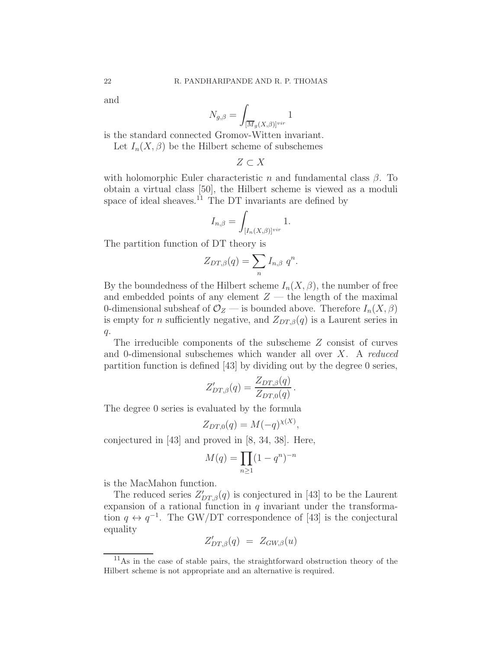and

$$
N_{g,\beta} = \int_{[\overline{M}_g(X,\beta)]^{vir}} 1
$$

is the standard connected Gromov-Witten invariant.

Let  $I_n(X, \beta)$  be the Hilbert scheme of subschemes

$$
Z\subset X
$$

with holomorphic Euler characteristic n and fundamental class  $\beta$ . To obtain a virtual class [50], the Hilbert scheme is viewed as a moduli space of ideal sheaves.<sup>11</sup> The DT invariants are defined by

$$
I_{n,\beta} = \int_{[I_n(X,\beta)]^{vir}} 1.
$$

The partition function of DT theory is

$$
Z_{DT,\beta}(q) = \sum_{n} I_{n,\beta} q^n.
$$

By the boundedness of the Hilbert scheme  $I_n(X, \beta)$ , the number of free and embedded points of any element  $Z$  — the length of the maximal 0-dimensional subsheaf of  $\mathcal{O}_Z$  — is bounded above. Therefore  $I_n(X,\beta)$ is empty for *n* sufficiently negative, and  $Z_{DT,\beta}(q)$  is a Laurent series in  $q$ .

The irreducible components of the subscheme Z consist of curves and 0-dimensional subschemes which wander all over X. A reduced partition function is defined [43] by dividing out by the degree 0 series,

$$
Z'_{DT,\beta}(q) = \frac{Z_{DT,\beta}(q)}{Z_{DT,0}(q)}.
$$

The degree 0 series is evaluated by the formula

$$
Z_{DT,0}(q) = M(-q)^{\chi(X)},
$$

conjectured in [43] and proved in [8, 34, 38]. Here,

$$
M(q) = \prod_{n\geq 1} (1 - q^n)^{-n}
$$

is the MacMahon function.

The reduced series  $Z'_{DT,\beta}(q)$  is conjectured in [43] to be the Laurent expansion of a rational function in  $q$  invariant under the transformation  $q \leftrightarrow q^{-1}$ . The GW/DT correspondence of [43] is the conjectural equality

$$
Z'_{DT,\beta}(q) \ = \ Z_{GW,\beta}(u)
$$

 $11<sub>As</sub>$  in the case of stable pairs, the straightforward obstruction theory of the Hilbert scheme is not appropriate and an alternative is required.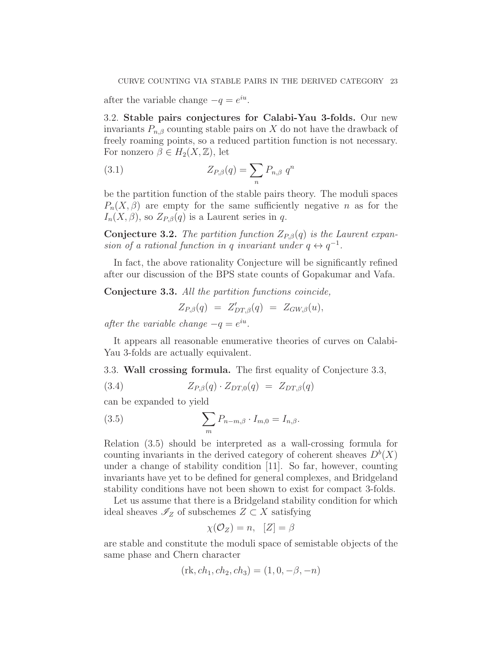after the variable change  $-q = e^{iu}$ .

3.2. Stable pairs conjectures for Calabi-Yau 3-folds. Our new invariants  $P_{n,\beta}$  counting stable pairs on X do not have the drawback of freely roaming points, so a reduced partition function is not necessary. For nonzero  $\beta \in H_2(X,\mathbb{Z})$ , let

(3.1) 
$$
Z_{P,\beta}(q) = \sum_n P_{n,\beta} q^n
$$

be the partition function of the stable pairs theory. The moduli spaces  $P_n(X, \beta)$  are empty for the same sufficiently negative n as for the  $I_n(X, \beta)$ , so  $Z_{P,\beta}(q)$  is a Laurent series in q.

**Conjecture 3.2.** The partition function  $Z_{P,\beta}(q)$  is the Laurent expansion of a rational function in q invariant under  $q \leftrightarrow q^{-1}$ .

In fact, the above rationality Conjecture will be significantly refined after our discussion of the BPS state counts of Gopakumar and Vafa.

Conjecture 3.3. All the partition functions coincide,

$$
Z_{P,\beta}(q) = Z'_{DT,\beta}(q) = Z_{GW,\beta}(u),
$$

after the variable change  $-q = e^{iu}$ .

It appears all reasonable enumerative theories of curves on Calabi-Yau 3-folds are actually equivalent.

3.3. Wall crossing formula. The first equality of Conjecture 3.3,

(3.4) 
$$
Z_{P,\beta}(q) \cdot Z_{DT,0}(q) = Z_{DT,\beta}(q)
$$

can be expanded to yield

(3.5) 
$$
\sum_{m} P_{n-m,\beta} \cdot I_{m,0} = I_{n,\beta}.
$$

Relation (3.5) should be interpreted as a wall-crossing formula for counting invariants in the derived category of coherent sheaves  $D<sup>b</sup>(X)$ under a change of stability condition [11]. So far, however, counting invariants have yet to be defined for general complexes, and Bridgeland stability conditions have not been shown to exist for compact 3-folds.

Let us assume that there is a Bridgeland stability condition for which ideal sheaves  $\mathscr{I}_Z$  of subschemes  $Z \subset X$  satisfying

$$
\chi(\mathcal{O}_Z) = n, \ \ [Z] = \beta
$$

are stable and constitute the moduli space of semistable objects of the same phase and Chern character

$$
(\text{rk}, ch_1, ch_2, ch_3) = (1, 0, -\beta, -n)
$$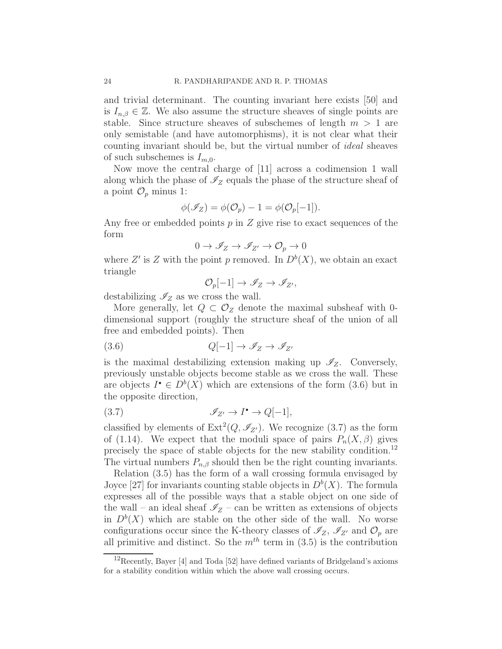and trivial determinant. The counting invariant here exists [50] and is  $I_{n,\beta} \in \mathbb{Z}$ . We also assume the structure sheaves of single points are stable. Since structure sheaves of subschemes of length  $m > 1$  are only semistable (and have automorphisms), it is not clear what their counting invariant should be, but the virtual number of ideal sheaves of such subschemes is  $I_{m,0}$ .

Now move the central charge of [11] across a codimension 1 wall along which the phase of  $\mathcal{I}_Z$  equals the phase of the structure sheaf of a point  $\mathcal{O}_p$  minus 1:

$$
\phi(\mathscr{I}_Z) = \phi(\mathcal{O}_p) - 1 = \phi(\mathcal{O}_p[-1]).
$$

Any free or embedded points  $p$  in  $Z$  give rise to exact sequences of the form

$$
0\to\mathscr{I}_Z\to\mathscr{I}_{Z'}\to\mathcal{O}_p\to 0
$$

where Z' is Z with the point p removed. In  $D^b(X)$ , we obtain an exact triangle

$$
\mathcal{O}_p[-1] \to \mathscr{I}_Z \to \mathscr{I}_{Z'},
$$

destabilizing  $\mathcal{I}_Z$  as we cross the wall.

More generally, let  $Q \subset \mathcal{O}_Z$  denote the maximal subsheaf with 0dimensional support (roughly the structure sheaf of the union of all free and embedded points). Then

$$
(3.6) \tQ[-1] \to \mathscr{I}_Z \to \mathscr{I}_{Z'}
$$

is the maximal destabilizing extension making up  $\mathscr{I}_Z$ . Conversely, previously unstable objects become stable as we cross the wall. These are objects  $I^{\bullet} \in D^b(X)$  which are extensions of the form (3.6) but in the opposite direction,

$$
\mathscr{I}_{Z'} \to I^{\bullet} \to Q[-1],
$$

classified by elements of  $\text{Ext}^2(Q, \mathscr{I}_{Z'})$ . We recognize (3.7) as the form of (1.14). We expect that the moduli space of pairs  $P_n(X, \beta)$  gives precisely the space of stable objects for the new stability condition. 12 The virtual numbers  $P_{n,\beta}$  should then be the right counting invariants.

Relation (3.5) has the form of a wall crossing formula envisaged by Joyce [27] for invariants counting stable objects in  $D^b(X)$ . The formula expresses all of the possible ways that a stable object on one side of the wall – an ideal sheaf  $\mathscr{I}_Z$  – can be written as extensions of objects in  $D^b(X)$  which are stable on the other side of the wall. No worse configurations occur since the K-theory classes of  $\mathscr{I}_Z$ ,  $\mathscr{I}_{Z'}$  and  $\mathcal{O}_p$  are all primitive and distinct. So the  $m<sup>th</sup>$  term in (3.5) is the contribution

 $12$ Recently, Bayer [4] and Toda [52] have defined variants of Bridgeland's axioms for a stability condition within which the above wall crossing occurs.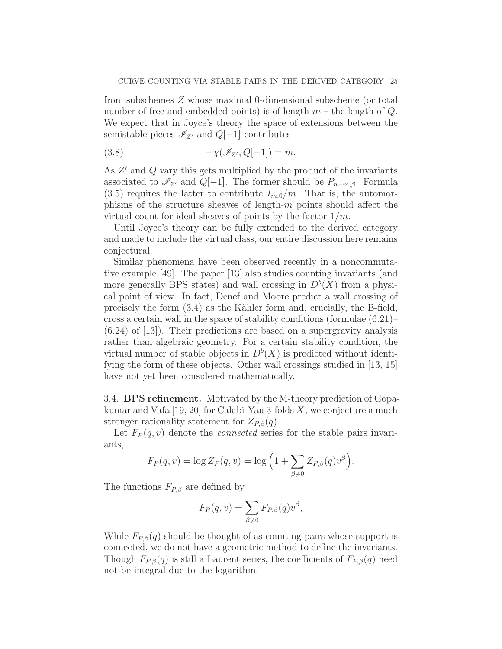from subschemes Z whose maximal 0-dimensional subscheme (or total number of free and embedded points) is of length  $m$  – the length of  $Q$ . We expect that in Joyce's theory the space of extensions between the semistable pieces  $\mathscr{I}_{Z'}$  and  $Q[-1]$  contributes

$$
(3.8) \qquad \qquad -\chi(\mathscr{I}_{Z'}, Q[-1]) = m.
$$

As  $Z'$  and  $Q$  vary this gets multiplied by the product of the invariants associated to  $\mathscr{I}_{Z'}$  and  $Q[-1]$ . The former should be  $P_{n-m,\beta}$ . Formula  $(3.5)$  requires the latter to contribute  $I_{m,0}/m$ . That is, the automorphisms of the structure sheaves of length- $m$  points should affect the virtual count for ideal sheaves of points by the factor  $1/m$ .

Until Joyce's theory can be fully extended to the derived category and made to include the virtual class, our entire discussion here remains conjectural.

Similar phenomena have been observed recently in a noncommutative example [49]. The paper [13] also studies counting invariants (and more generally BPS states) and wall crossing in  $D<sup>b</sup>(X)$  from a physical point of view. In fact, Denef and Moore predict a wall crossing of precisely the form  $(3.4)$  as the Kähler form and, crucially, the B-field, cross a certain wall in the space of stability conditions (formulae (6.21)– (6.24) of [13]). Their predictions are based on a supergravity analysis rather than algebraic geometry. For a certain stability condition, the virtual number of stable objects in  $D^b(X)$  is predicted without identifying the form of these objects. Other wall crossings studied in [13, 15] have not yet been considered mathematically.

3.4. BPS refinement. Motivated by the M-theory prediction of Gopakumar and Vafa  $[19, 20]$  for Calabi-Yau 3-folds X, we conjecture a much stronger rationality statement for  $Z_{P,\beta}(q)$ .

Let  $F_P(q, v)$  denote the *connected* series for the stable pairs invariants,

$$
F_P(q, v) = \log Z_P(q, v) = \log \left( 1 + \sum_{\beta \neq 0} Z_{P, \beta}(q) v^{\beta} \right).
$$

The functions  $F_{P,\beta}$  are defined by

$$
F_P(q, v) = \sum_{\beta \neq 0} F_{P, \beta}(q) v^{\beta},
$$

While  $F_{P,\beta}(q)$  should be thought of as counting pairs whose support is connected, we do not have a geometric method to define the invariants. Though  $F_{P,\beta}(q)$  is still a Laurent series, the coefficients of  $F_{P,\beta}(q)$  need not be integral due to the logarithm.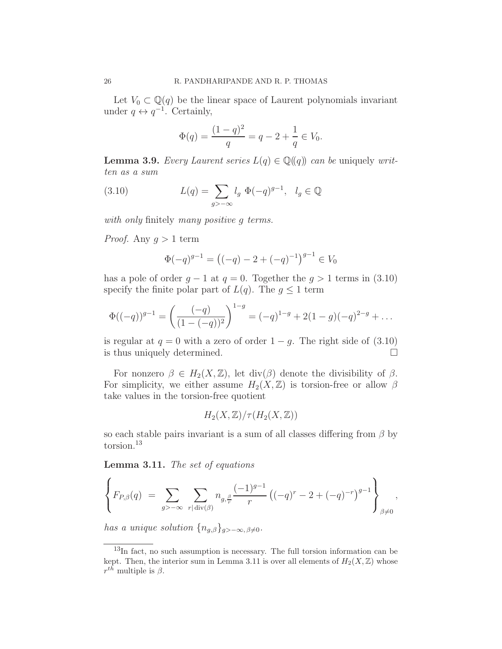Let  $V_0 \subset \mathbb{Q}(q)$  be the linear space of Laurent polynomials invariant under  $q \leftrightarrow q^{-1}$ . Certainly,

$$
\Phi(q) = \frac{(1-q)^2}{q} = q - 2 + \frac{1}{q} \in V_0.
$$

**Lemma 3.9.** Every Laurent series  $L(q) \in \mathbb{Q}(\{q\})$  can be uniquely written as a sum

(3.10) 
$$
L(q) = \sum_{g > -\infty} l_g \Phi(-q)^{g-1}, \quad l_g \in \mathbb{Q}
$$

with only finitely many positive g terms.

*Proof.* Any  $q > 1$  term

$$
\Phi(-q)^{g-1} = ((-q) - 2 + (-q)^{-1})^{g-1} \in V_0
$$

has a pole of order  $q - 1$  at  $q = 0$ . Together the  $q > 1$  terms in (3.10) specify the finite polar part of  $L(q)$ . The  $q \leq 1$  term

$$
\Phi((-q))^{g-1} = \left(\frac{(-q)}{(1 - (-q))^2}\right)^{1-g} = (-q)^{1-g} + 2(1-g)(-q)^{2-g} + \dots
$$

is regular at  $q = 0$  with a zero of order  $1 - q$ . The right side of (3.10) is thus uniquely determined.

For nonzero  $\beta \in H_2(X,\mathbb{Z})$ , let div $(\beta)$  denote the divisibility of  $\beta$ . For simplicity, we either assume  $H_2(X,\mathbb{Z})$  is torsion-free or allow  $\beta$ take values in the torsion-free quotient

$$
H_2(X,\mathbb{Z})/\tau(H_2(X,\mathbb{Z}))
$$

so each stable pairs invariant is a sum of all classes differing from  $\beta$  by torsion.<sup>13</sup>

Lemma 3.11. The set of equations

$$
\left\{ F_{P,\beta}(q) \ = \ \sum_{g \geq -\infty} \ \sum_{r | \text{div}(\beta)} n_{g,\frac{\beta}{r}} \frac{(-1)^{g-1}}{r} \left( (-q)^r - 2 + (-q)^{-r} \right)^{g-1} \right\}_{\beta \neq 0},
$$

has a unique solution  $\{n_{q,\beta}\}_{q>-\infty,\,\beta\neq 0}$ .

<sup>13</sup>In fact, no such assumption is necessary. The full torsion information can be kept. Then, the interior sum in Lemma 3.11 is over all elements of  $H_2(X,\mathbb{Z})$  whose  $r^{th}$  multiple is  $\beta$ .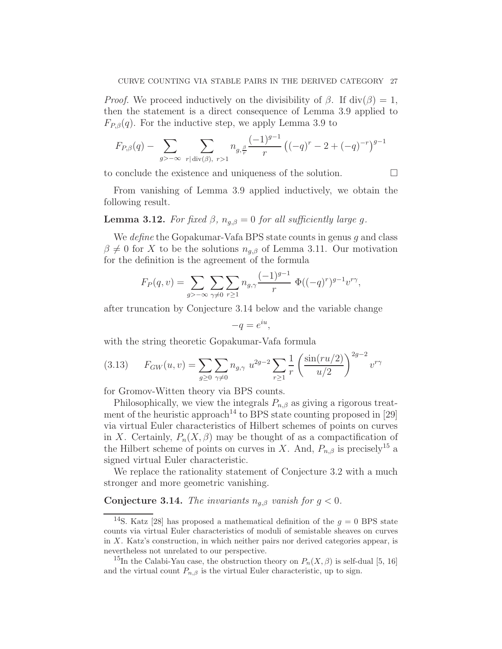*Proof.* We proceed inductively on the divisibility of  $\beta$ . If div( $\beta$ ) = 1, then the statement is a direct consequence of Lemma 3.9 applied to  $F_{P,\beta}(q)$ . For the inductive step, we apply Lemma 3.9 to

$$
F_{P,\beta}(q) - \sum_{g>-\infty} \sum_{r | \operatorname{div}(\beta), \ r>1} n_{g,\frac{\beta}{r}} \frac{(-1)^{g-1}}{r} \left( (-q)^r - 2 + (-q)^{-r} \right)^{g-1}
$$

to conclude the existence and uniqueness of the solution.

From vanishing of Lemma 3.9 applied inductively, we obtain the following result.

## **Lemma 3.12.** For fixed  $\beta$ ,  $n_{q,\beta} = 0$  for all sufficiently large g.

We *define* the Gopakumar-Vafa BPS state counts in genus  $q$  and class  $\beta \neq 0$  for X to be the solutions  $n_{g,\beta}$  of Lemma 3.11. Our motivation for the definition is the agreement of the formula

$$
F_P(q, v) = \sum_{g > -\infty} \sum_{\gamma \neq 0} \sum_{r \geq 1} n_{g,\gamma} \frac{(-1)^{g-1}}{r} \Phi((-q)^r)^{g-1} v^{r\gamma},
$$

after truncation by Conjecture 3.14 below and the variable change

$$
-q = e^{iu},
$$

with the string theoretic Gopakumar-Vafa formula

$$
(3.13) \tF_{GW}(u,v) = \sum_{g \ge 0} \sum_{\gamma \ne 0} n_{g,\gamma} u^{2g-2} \sum_{r \ge 1} \frac{1}{r} \left( \frac{\sin(ru/2)}{u/2} \right)^{2g-2} v^{r\gamma}
$$

for Gromov-Witten theory via BPS counts.

Philosophically, we view the integrals  $P_{n,\beta}$  as giving a rigorous treatment of the heuristic approach<sup>14</sup> to BPS state counting proposed in [29] via virtual Euler characteristics of Hilbert schemes of points on curves in X. Certainly,  $P_n(X, \beta)$  may be thought of as a compactification of the Hilbert scheme of points on curves in X. And,  $P_{n,\beta}$  is precisely<sup>15</sup> a signed virtual Euler characteristic.

We replace the rationality statement of Conjecture 3.2 with a much stronger and more geometric vanishing.

## **Conjecture 3.14.** The invariants  $n_{q,\beta}$  vanish for  $q < 0$ .

<sup>&</sup>lt;sup>14</sup>S. Katz [28] has proposed a mathematical definition of the  $g = 0$  BPS state counts via virtual Euler characteristics of moduli of semistable sheaves on curves in X. Katz's construction, in which neither pairs nor derived categories appear, is nevertheless not unrelated to our perspective.

<sup>&</sup>lt;sup>15</sup>In the Calabi-Yau case, the obstruction theory on  $P_n(X,\beta)$  is self-dual [5, 16] and the virtual count  $P_{n,\beta}$  is the virtual Euler characteristic, up to sign.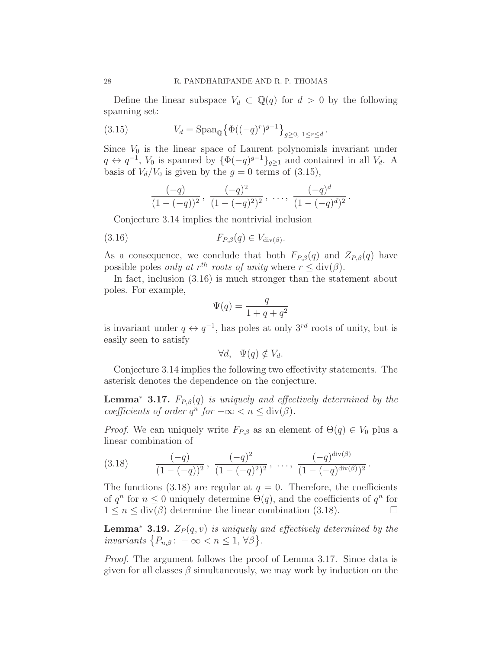Define the linear subspace  $V_d \subset \mathbb{Q}(q)$  for  $d > 0$  by the following spanning set:

(3.15) 
$$
V_d = \text{Span}_{\mathbb{Q}} \{ \Phi((-q)^r)^{g-1} \}_{g \ge 0, 1 \le r \le d}.
$$

Since  $V_0$  is the linear space of Laurent polynomials invariant under  $q \leftrightarrow q^{-1}$ ,  $V_0$  is spanned by  $\{\Phi(-q)^{g-1}\}_{g\geq 1}$  and contained in all  $V_d$ . A basis of  $V_d/V_0$  is given by the  $g = 0$  terms of (3.15),

$$
\frac{(-q)}{(1 - (-q))^2}, \frac{(-q)^2}{(1 - (-q)^2)^2}, \dots, \frac{(-q)^d}{(1 - (-q)^d)^2}.
$$

Conjecture 3.14 implies the nontrivial inclusion

$$
(3.16) \t\t F_{P,\beta}(q) \in V_{\text{div}(\beta)}
$$

As a consequence, we conclude that both  $F_{P,\beta}(q)$  and  $Z_{P,\beta}(q)$  have possible poles *only at*  $r^{th}$  *roots of unity* where  $r \leq \text{div}(\beta)$ .

.

In fact, inclusion (3.16) is much stronger than the statement about poles. For example,

$$
\Psi(q) = \frac{q}{1+q+q^2}
$$

is invariant under  $q \leftrightarrow q^{-1}$ , has poles at only  $3^{rd}$  roots of unity, but is easily seen to satisfy

$$
\forall d, \quad \Psi(q) \notin V_d.
$$

Conjecture 3.14 implies the following two effectivity statements. The asterisk denotes the dependence on the conjecture.

**Lemma<sup>\*</sup> 3.17.**  $F_{P,\beta}(q)$  is uniquely and effectively determined by the coefficients of order  $q^n$  for  $-\infty < n \leq \text{div}(\beta)$ .

*Proof.* We can uniquely write  $F_{P,\beta}$  as an element of  $\Theta(q) \in V_0$  plus a linear combination of

$$
(3.18) \qquad \frac{(-q)}{(1 - (-q))^2}, \frac{(-q)^2}{(1 - (-q)^2)^2}, \ \ldots, \ \frac{(-q)^{\operatorname{div}(\beta)}}{(1 - (-q)^{\operatorname{div}(\beta)})^2}.
$$

The functions (3.18) are regular at  $q = 0$ . Therefore, the coefficients of  $q^n$  for  $n \leq 0$  uniquely determine  $\Theta(q)$ , and the coefficients of  $q^n$  for  $1 \leq n \leq \text{div}(\beta)$  determine the linear combination (3.18).

**Lemma<sup>∗</sup> 3.19.**  $Z_P(q, v)$  is uniquely and effectively determined by the invariants  $\{P_{n,\beta}: -\infty < n \leq 1, \forall \beta\}.$ 

Proof. The argument follows the proof of Lemma 3.17. Since data is given for all classes  $\beta$  simultaneously, we may work by induction on the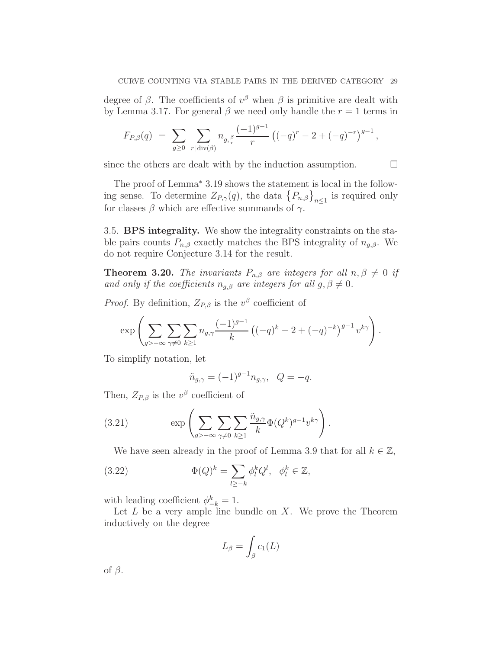degree of  $\beta$ . The coefficients of  $v^{\beta}$  when  $\beta$  is primitive are dealt with by Lemma 3.17. For general  $\beta$  we need only handle the  $r = 1$  terms in

$$
F_{P,\beta}(q) = \sum_{g\geq 0} \sum_{r|\text{div}(\beta)} n_{g,\frac{\beta}{r}} \frac{(-1)^{g-1}}{r} \left( (-q)^r - 2 + (-q)^{-r} \right)^{g-1},
$$

since the others are dealt with by the induction assumption.  $\Box$ 

The proof of Lemma<sup>\*</sup> 3.19 shows the statement is local in the following sense. To determine  $Z_{P,\gamma}(q)$ , the data  $\{P_{n,\beta}\}_{n\leq 1}$  is required only for classes  $\beta$  which are effective summands of  $\gamma$ .

3.5. BPS integrality. We show the integrality constraints on the stable pairs counts  $P_{n,\beta}$  exactly matches the BPS integrality of  $n_{q,\beta}$ . We do not require Conjecture 3.14 for the result.

**Theorem 3.20.** The invariants  $P_{n,\beta}$  are integers for all  $n, \beta \neq 0$  if and only if the coefficients  $n_{q,\beta}$  are integers for all  $q, \beta \neq 0$ .

*Proof.* By definition,  $Z_{P,\beta}$  is the  $v^{\beta}$  coefficient of

$$
\exp\left(\sum_{g>-\infty}\sum_{\gamma\neq 0}\sum_{k\geq 1}n_{g,\gamma}\frac{(-1)^{g-1}}{k}\left((-q)^k-2+(-q)^{-k}\right)^{g-1}v^{k\gamma}\right).
$$

To simplify notation, let

$$
\tilde{n}_{g,\gamma} = (-1)^{g-1} n_{g,\gamma}, \quad Q = -q.
$$

Then,  $Z_{P,\beta}$  is the  $v^{\beta}$  coefficient of

(3.21) 
$$
\exp\left(\sum_{g>-\infty}\sum_{\gamma\neq 0}\sum_{k\geq 1}\frac{\tilde{n}_{g,\gamma}}{k}\Phi(Q^k)^{g-1}v^{k\gamma}\right).
$$

We have seen already in the proof of Lemma 3.9 that for all  $k \in \mathbb{Z}$ ,

(3.22) 
$$
\Phi(Q)^k = \sum_{l \ge -k} \phi_l^k Q^l, \quad \phi_l^k \in \mathbb{Z},
$$

with leading coefficient  $\phi_{-k}^k = 1$ .

Let  $L$  be a very ample line bundle on  $X$ . We prove the Theorem inductively on the degree

$$
L_{\beta} = \int_{\beta} c_1(L)
$$

of  $\beta$ .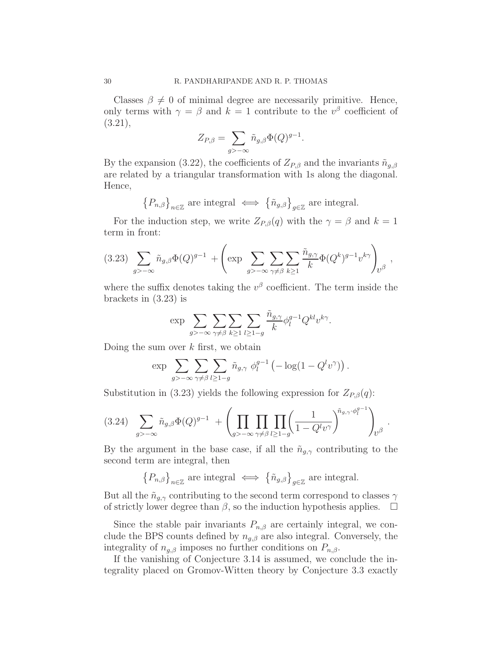Classes  $\beta \neq 0$  of minimal degree are necessarily primitive. Hence, only terms with  $\gamma = \beta$  and  $k = 1$  contribute to the  $v^{\beta}$  coefficient of (3.21),

$$
Z_{P,\beta} = \sum_{g \ge -\infty} \tilde{n}_{g,\beta} \Phi(Q)^{g-1}.
$$

By the expansion (3.22), the coefficients of  $Z_{P,\beta}$  and the invariants  $\tilde{n}_{q,\beta}$ are related by a triangular transformation with 1s along the diagonal. Hence,

$$
\left\{P_{n,\beta}\right\}_{n\in\mathbb{Z}}\,\text{are integral}\,\iff\,\left\{\tilde{n}_{g,\beta}\right\}_{g\in\mathbb{Z}}\,\text{are integral}.
$$

For the induction step, we write  $Z_{P,\beta}(q)$  with the  $\gamma = \beta$  and  $k = 1$ term in front:

$$
(3.23)\sum_{g>-\infty}\tilde{n}_{g,\beta}\Phi(Q)^{g-1}+\left(\exp\sum_{g>-\infty}\sum_{\gamma\neq\beta}\sum_{k\geq 1}\frac{\tilde{n}_{g,\gamma}}{k}\Phi(Q^k)^{g-1}v^{k\gamma}\right)_{\!\!v^{\beta}},
$$

where the suffix denotes taking the  $v^{\beta}$  coefficient. The term inside the brackets in (3.23) is

$$
\exp \sum_{g>-\infty} \sum_{\gamma \neq \beta} \sum_{k \geq 1} \sum_{l \geq 1-g} \frac{\tilde{n}_{g,\gamma}}{k} \phi_l^{g-1} Q^{kl} v^{k\gamma}.
$$

Doing the sum over  $k$  first, we obtain

$$
\exp \sum_{g \geq -\infty} \sum_{\gamma \neq \beta} \sum_{l \geq 1-g} \tilde{n}_{g,\gamma} \phi_l^{g-1} \left( -\log(1 - Q^l v^{\gamma}) \right).
$$

Substitution in (3.23) yields the following expression for  $Z_{P,\beta}(q)$ :

(3.24) X g>−∞ n˜g,βΦ(Q) <sup>g</sup>−<sup>1</sup> + Y g>−∞ Y γ6=β Y l≥1−g 1 1 − Q<sup>l</sup>v γ <sup>n</sup>˜g,γ·<sup>φ</sup> g−1 l ! v β .

By the argument in the base case, if all the  $\tilde{n}_{g,\gamma}$  contributing to the second term are integral, then

$$
\left\{P_{n,\beta}\right\}_{n\in\mathbb{Z}}\,\text{are integral}\,\iff\,\left\{\tilde{n}_{g,\beta}\right\}_{g\in\mathbb{Z}}\,\text{are integral}.
$$

But all the  $\tilde{n}_{q,\gamma}$  contributing to the second term correspond to classes  $\gamma$ of strictly lower degree than  $\beta$ , so the induction hypothesis applies.  $\Box$ 

Since the stable pair invariants  $P_{n,\beta}$  are certainly integral, we conclude the BPS counts defined by  $n_{q,\beta}$  are also integral. Conversely, the integrality of  $n_{g,\beta}$  imposes no further conditions on  $P_{n,\beta}$ .

If the vanishing of Conjecture 3.14 is assumed, we conclude the integrality placed on Gromov-Witten theory by Conjecture 3.3 exactly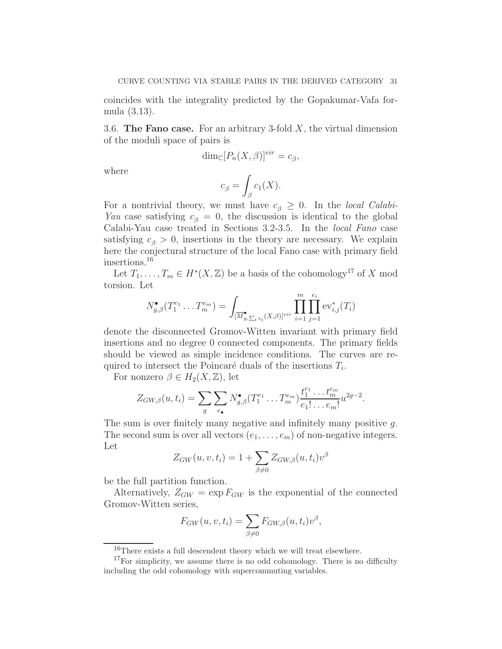coincides with the integrality predicted by the Gopakumar-Vafa formula (3.13).

3.6. The Fano case. For an arbitrary 3-fold  $X$ , the virtual dimension of the moduli space of pairs is

$$
\dim_{\mathbb{C}}[P_n(X,\beta)]^{vir} = c_{\beta},
$$

where

$$
c_{\beta} = \int_{\beta} c_1(X).
$$

For a nontrivial theory, we must have  $c_{\beta} \geq 0$ . In the *local Calabi*-Yau case satisfying  $c_{\beta} = 0$ , the discussion is identical to the global Calabi-Yau case treated in Sections 3.2-3.5. In the local Fano case satisfying  $c_{\beta} > 0$ , insertions in the theory are necessary. We explain here the conjectural structure of the local Fano case with primary field insertions.<sup>16</sup>

Let  $T_1, \ldots, T_m \in H^*(X, \mathbb{Z})$  be a basis of the cohomology<sup>17</sup> of X mod torsion. Let

$$
N_{g,\beta}^{\bullet}(T_1^{e_1}\ldots T_m^{e_m}) = \int_{[\overline{M}_{g,\sum_i e_i}^{\bullet}(X,\beta)]^{vir}} \prod_{i=1}^m \prod_{j=1}^{e_i} \text{ev}_{i,j}^*(T_i)
$$

denote the disconnected Gromov-Witten invariant with primary field insertions and no degree 0 connected components. The primary fields should be viewed as simple incidence conditions. The curves are required to intersect the Poincaré duals of the insertions  $T_i$ .

For nonzero  $\beta \in H_2(X,\mathbb{Z})$ , let

$$
Z_{GW,\beta}(u,t_i)=\sum_{g}\sum_{e_{\bullet}}N^{\bullet}_{g,\beta}(T_1^{e_1}\ldots T_m^{e_m})\frac{t_1^{e_1}\ldots t_m^{e_m}}{e_1!\ldots e_m!}u^{2g-2}.
$$

The sum is over finitely many negative and infinitely many positive g. The second sum is over all vectors  $(e_1, \ldots, e_m)$  of non-negative integers. Let

$$
Z_{GW}(u, v, t_i) = 1 + \sum_{\beta \neq 0} Z_{GW, \beta}(u, t_i) v^{\beta}
$$

be the full partition function.

Alternatively,  $Z_{GW} = \exp F_{GW}$  is the exponential of the connected Gromov-Witten series,

$$
F_{GW}(u, v, t_i) = \sum_{\beta \neq 0} F_{GW, \beta}(u, t_i) v^{\beta},
$$

<sup>&</sup>lt;sup>16</sup>There exists a full descendent theory which we will treat elsewhere.

 $17$ For simplicity, we assume there is no odd cohomology. There is no difficulty including the odd cohomology with supercommuting variables.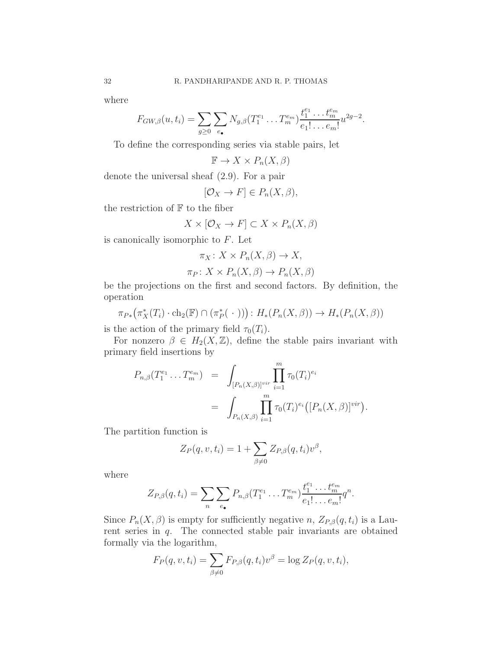where

$$
F_{GW,\beta}(u,t_i) = \sum_{g\geq 0} \sum_{e_{\bullet}} N_{g,\beta}(T_1^{e_1} \dots T_m^{e_m}) \frac{t_1^{e_1} \dots t_m^{e_m}}{e_1! \dots e_m!} u^{2g-2}.
$$

To define the corresponding series via stable pairs, let

$$
\mathbb{F} \to X \times P_n(X, \beta)
$$

denote the universal sheaf (2.9). For a pair

$$
[\mathcal{O}_X \to F] \in P_n(X, \beta),
$$

the restriction of  $\mathbb F$  to the fiber

$$
X \times [\mathcal{O}_X \to F] \subset X \times P_n(X, \beta)
$$

is canonically isomorphic to  $F$ . Let

$$
\pi_X \colon X \times P_n(X, \beta) \to X,
$$

$$
\pi_P \colon X \times P_n(X, \beta) \to P_n(X, \beta)
$$

be the projections on the first and second factors. By definition, the operation

$$
\pi_{P*}(\pi_X^*(T_i)\cdot \text{ch}_2(\mathbb{F})\cap (\pi_P^*(\cdot))) : H_*(P_n(X,\beta)) \to H_*(P_n(X,\beta))
$$

is the action of the primary field  $\tau_0(T_i)$ .

For nonzero  $\beta \in H_2(X,\mathbb{Z})$ , define the stable pairs invariant with primary field insertions by

$$
P_{n,\beta}(T_1^{e_1} \dots T_m^{e_m}) = \int_{[P_n(X,\beta)]^{vir}} \prod_{i=1}^m \tau_0(T_i)^{e_i}
$$
  
= 
$$
\int_{P_n(X,\beta)} \prod_{i=1}^m \tau_0(T_i)^{e_i} ([P_n(X,\beta)]^{vir}).
$$

The partition function is

$$
Z_P(q, v, t_i) = 1 + \sum_{\beta \neq 0} Z_{P,\beta}(q, t_i) v^{\beta},
$$

where

$$
Z_{P,\beta}(q,t_i)=\sum_n\sum_{e_\bullet}P_{n,\beta}(T_1^{e_1}\ldots T_m^{e_m})\frac{t_1^{e_1}\ldots t_m^{e_m}}{e_1!\ldots e_m!}q^n.
$$

Since  $P_n(X, \beta)$  is empty for sufficiently negative n,  $Z_{P,\beta}(q, t_i)$  is a Laurent series in  $q$ . The connected stable pair invariants are obtained formally via the logarithm,

$$
F_P(q, v, t_i) = \sum_{\beta \neq 0} F_{P,\beta}(q, t_i) v^{\beta} = \log Z_P(q, v, t_i),
$$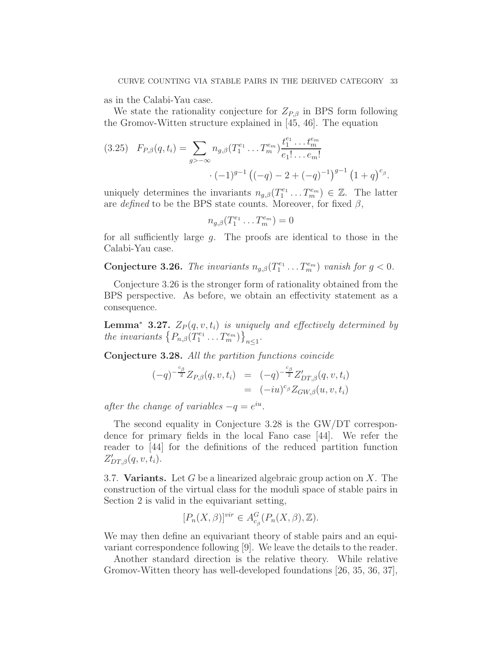as in the Calabi-Yau case.

We state the rationality conjecture for  $Z_{P,\beta}$  in BPS form following the Gromov-Witten structure explained in [45, 46]. The equation

$$
(3.25) \quad F_{P,\beta}(q,t_i) = \sum_{g \geq -\infty} n_{g,\beta}(T_1^{e_1} \dots T_m^{e_m}) \frac{t_1^{e_1} \dots t_m^{e_m}}{e_1! \dots e_m!} \cdot (-1)^{g-1} \left( (-q) - 2 + (-q)^{-1} \right)^{g-1} \left( 1 + q \right)^{c_\beta}.
$$

uniquely determines the invariants  $n_{g,\beta}(T_1^{e_1} \dots T_m^{e_m}) \in \mathbb{Z}$ . The latter are defined to be the BPS state counts. Moreover, for fixed  $\beta$ ,

$$
n_{g,\beta}(T_1^{e_1}\ldots T_m^{e_m})=0
$$

for all sufficiently large g. The proofs are identical to those in the Calabi-Yau case.

**Conjecture 3.26.** The invariants  $n_{g,\beta}(T_1^{e_1} \dots T_m^{e_m})$  vanish for  $g < 0$ .

Conjecture 3.26 is the stronger form of rationality obtained from the BPS perspective. As before, we obtain an effectivity statement as a consequence.

**Lemma<sup>∗</sup> 3.27.**  $Z_P(q, v, t_i)$  is uniquely and effectively determined by the invariants  $\{P_{n,\beta}(T_1^{e_1} \ldots T_m^{e_m})\}_{n \leq 1}$ .

Conjecture 3.28. All the partition functions coincide

$$
\begin{array}{rcl}\n(-q)^{-\frac{c_{\beta}}{2}}Z_{P,\beta}(q,v,t_i) & = & (-q)^{-\frac{c_{\beta}}{2}}Z'_{DT,\beta}(q,v,t_i) \\
& = & (-iu)^{c_{\beta}}Z_{GW,\beta}(u,v,t_i)\n\end{array}
$$

after the change of variables  $-q = e^{iu}$ .

The second equality in Conjecture 3.28 is the GW/DT correspondence for primary fields in the local Fano case [44]. We refer the reader to [44] for the definitions of the reduced partition function  $Z'_{DT,\beta}(q, v, t_i).$ 

3.7. Variants. Let  $G$  be a linearized algebraic group action on  $X$ . The construction of the virtual class for the moduli space of stable pairs in Section 2 is valid in the equivariant setting,

$$
[P_n(X,\beta)]^{vir} \in A_{c_\beta}^G(P_n(X,\beta),\mathbb{Z}).
$$

We may then define an equivariant theory of stable pairs and an equivariant correspondence following [9]. We leave the details to the reader.

Another standard direction is the relative theory. While relative Gromov-Witten theory has well-developed foundations [26, 35, 36, 37],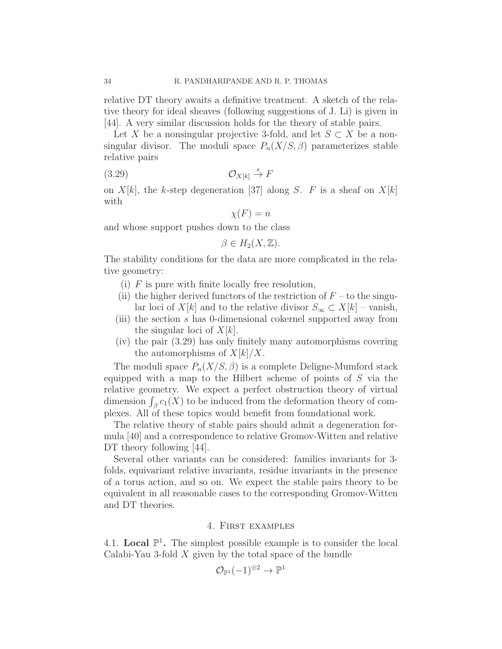relative DT theory awaits a definitive treatment. A sketch of the relative theory for ideal sheaves (following suggestions of J. Li) is given in [44]. A very similar discussion holds for the theory of stable pairs.

Let X be a nonsingular projective 3-fold, and let  $S \subset X$  be a nonsingular divisor. The moduli space  $P_n(X/S, \beta)$  parameterizes stable relative pairs

$$
(3.29) \t\t \t\t \mathcal{O}_{X[k]} \stackrel{s}{\to} F
$$

on  $X[k]$ , the k-step degeneration [37] along S. F is a sheaf on  $X[k]$ with

$$
\chi(F) = n
$$

and whose support pushes down to the class

$$
\beta \in H_2(X, \mathbb{Z}).
$$

The stability conditions for the data are more complicated in the relative geometry:

- (i)  $F$  is pure with finite locally free resolution,
- (ii) the higher derived functors of the restriction of  $F$  to the singular loci of X[k] and to the relative divisor  $S_{\infty} \subset X[k]$  – vanish,
- (iii) the section s has 0-dimensional cokernel supported away from the singular loci of  $X[k]$ .
- (iv) the pair (3.29) has only finitely many automorphisms covering the automorphisms of  $X[k]/X$ .

The moduli space  $P_n(X/S, \beta)$  is a complete Deligne-Mumford stack equipped with a map to the Hilbert scheme of points of  $S$  via the relative geometry. We expect a perfect obstruction theory of virtual dimension  $\int_{\beta} c_1(X)$  to be induced from the deformation theory of complexes. All of these topics would benefit from foundational work.

The relative theory of stable pairs should admit a degeneration formula [40] and a correspondence to relative Gromov-Witten and relative DT theory following [44].

Several other variants can be considered: families invariants for 3 folds, equivariant relative invariants, residue invariants in the presence of a torus action, and so on. We expect the stable pairs theory to be equivalent in all reasonable cases to the corresponding Gromov-Witten and DT theories.

## 4. First examples

4.1. Local  $\mathbb{P}^1$ . The simplest possible example is to consider the local Calabi-Yau 3-fold  $X$  given by the total space of the bundle

$$
\mathcal{O}_{\mathbb{P}^1}(-1)^{\oplus 2}\to \mathbb{P}^1
$$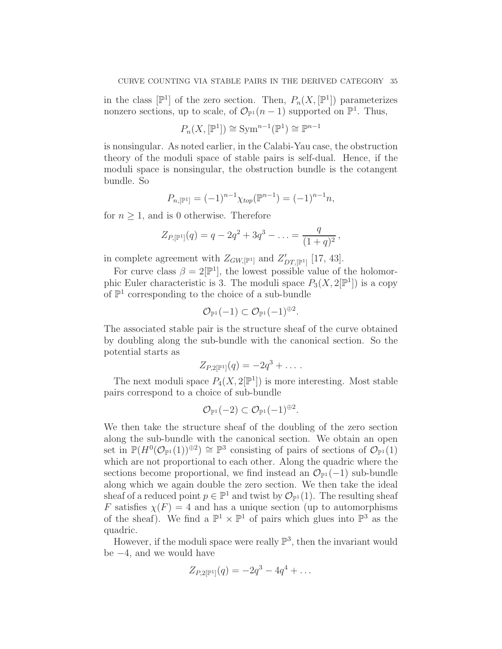in the class  $[\mathbb{P}^1]$  of the zero section. Then,  $P_n(X, [\mathbb{P}^1])$  parameterizes nonzero sections, up to scale, of  $\mathcal{O}_{\mathbb{P}^1}(n-1)$  supported on  $\mathbb{P}^1$ . Thus,

$$
P_n(X, [\mathbb{P}^1]) \cong \text{Sym}^{n-1}(\mathbb{P}^1) \cong \mathbb{P}^{n-1}
$$

is nonsingular. As noted earlier, in the Calabi-Yau case, the obstruction theory of the moduli space of stable pairs is self-dual. Hence, if the moduli space is nonsingular, the obstruction bundle is the cotangent bundle. So

$$
P_{n,[\mathbb{P}^1]} = (-1)^{n-1} \chi_{top}(\mathbb{P}^{n-1}) = (-1)^{n-1} n,
$$

for  $n \geq 1$ , and is 0 otherwise. Therefore

$$
Z_{P,[\mathbb{P}^1]}(q) = q - 2q^2 + 3q^3 - \ldots = \frac{q}{(1+q)^2},
$$

in complete agreement with  $Z_{GW,[\mathbb{P}^1]}$  and  $Z'_{DT,[\mathbb{P}^1]}$  [17, 43].

For curve class  $\beta = 2[\mathbb{P}^1]$ , the lowest possible value of the holomorphic Euler characteristic is 3. The moduli space  $P_3(X, 2[\mathbb{P}^1])$  is a copy of  $\mathbb{P}^1$  corresponding to the choice of a sub-bundle

$$
\mathcal{O}_{\mathbb{P}^1}(-1) \subset \mathcal{O}_{\mathbb{P}^1}(-1)^{\oplus 2}.
$$

The associated stable pair is the structure sheaf of the curve obtained by doubling along the sub-bundle with the canonical section. So the potential starts as

$$
Z_{P,2[\mathbb{P}^1]}(q) = -2q^3 + \dots.
$$

The next moduli space  $P_4(X, 2[\mathbb{P}^1])$  is more interesting. Most stable pairs correspond to a choice of sub-bundle

$$
\mathcal{O}_{\mathbb{P}^1}(-2) \subset \mathcal{O}_{\mathbb{P}^1}(-1)^{\oplus 2}.
$$

We then take the structure sheaf of the doubling of the zero section along the sub-bundle with the canonical section. We obtain an open set in  $\mathbb{P}(H^0(\mathcal{O}_{\mathbb{P}^1}(1))^{\oplus 2}) \cong \mathbb{P}^3$  consisting of pairs of sections of  $\mathcal{O}_{\mathbb{P}^1}(1)$ which are not proportional to each other. Along the quadric where the sections become proportional, we find instead an  $\mathcal{O}_{\mathbb{P}^1}(-1)$  sub-bundle along which we again double the zero section. We then take the ideal sheaf of a reduced point  $p \in \mathbb{P}^1$  and twist by  $\mathcal{O}_{\mathbb{P}^1}(1)$ . The resulting sheaf F satisfies  $\chi(F) = 4$  and has a unique section (up to automorphisms of the sheaf). We find a  $\mathbb{P}^1 \times \mathbb{P}^1$  of pairs which glues into  $\mathbb{P}^3$  as the quadric.

However, if the moduli space were really  $\mathbb{P}^3$ , then the invariant would be −4, and we would have

$$
Z_{P,2[\mathbb{P}^1]}(q) = -2q^3 - 4q^4 + \dots
$$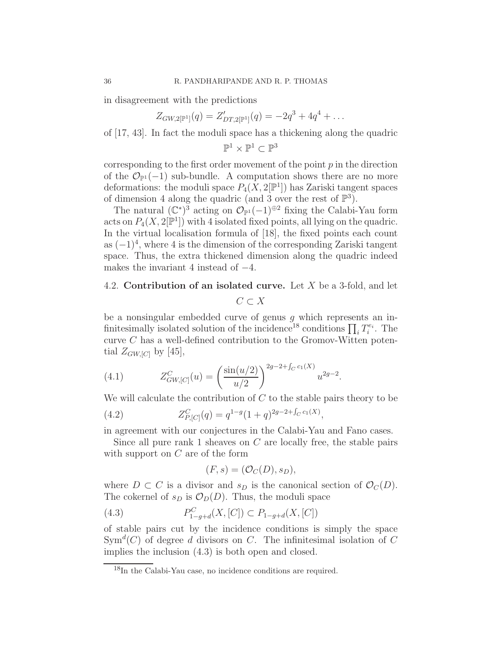in disagreement with the predictions

$$
Z_{GW,2[\mathbb{P}^1]}(q) = Z'_{DT,2[\mathbb{P}^1]}(q) = -2q^3 + 4q^4 + \dots
$$

of [17, 43]. In fact the moduli space has a thickening along the quadric

$$
\mathbb{P}^1\times \mathbb{P}^1\subset \mathbb{P}^3
$$

corresponding to the first order movement of the point  $p$  in the direction of the  $\mathcal{O}_{\mathbb{P}^1}(-1)$  sub-bundle. A computation shows there are no more deformations: the moduli space  $P_4(X, 2[\mathbb{P}^1])$  has Zariski tangent spaces of dimension 4 along the quadric (and 3 over the rest of  $\mathbb{P}^3$ ).

The natural  $(\mathbb{C}^*)^3$  acting on  $\mathcal{O}_{\mathbb{P}^1}(-1)^{\oplus 2}$  fixing the Calabi-Yau form acts on  $P_4(X, 2[\mathbb{P}^1])$  with 4 isolated fixed points, all lying on the quadric. In the virtual localisation formula of [18], the fixed points each count as  $(-1)^4$ , where 4 is the dimension of the corresponding Zariski tangent space. Thus, the extra thickened dimension along the quadric indeed makes the invariant 4 instead of  $-4$ .

# 4.2. Contribution of an isolated curve. Let X be a 3-fold, and let

$$
C \subset X
$$

be a nonsingular embedded curve of genus  $q$  which represents an infinitesimally isolated solution of the incidence<sup>18</sup> conditions  $\prod_i T_i^{e_i}$ . The curve C has a well-defined contribution to the Gromov-Witten potential  $Z_{GW,[C]}$  by [45],

(4.1) 
$$
Z_{GW,[C]}^C(u) = \left(\frac{\sin(u/2)}{u/2}\right)^{2g-2+f_C c_1(X)} u^{2g-2}.
$$

We will calculate the contribution of  $C$  to the stable pairs theory to be

(4.2) 
$$
Z_{P,[C]}^C(q) = q^{1-g}(1+q)^{2g-2+f_C c_1(X)},
$$

in agreement with our conjectures in the Calabi-Yau and Fano cases.

Since all pure rank 1 sheaves on  $C$  are locally free, the stable pairs with support on C are of the form

$$
(F,s)=(\mathcal{O}_C(D),s_D),
$$

where  $D \subset C$  is a divisor and  $s_D$  is the canonical section of  $\mathcal{O}_C(D)$ . The cokernel of  $s_D$  is  $\mathcal{O}_D(D)$ . Thus, the moduli space

(4.3) 
$$
P_{1-g+d}^C(X,[C]) \subset P_{1-g+d}(X,[C])
$$

of stable pairs cut by the incidence conditions is simply the space  $Sym<sup>d</sup>(C)$  of degree d divisors on C. The infinitesimal isolation of C implies the inclusion (4.3) is both open and closed.

<sup>&</sup>lt;sup>18</sup>In the Calabi-Yau case, no incidence conditions are required.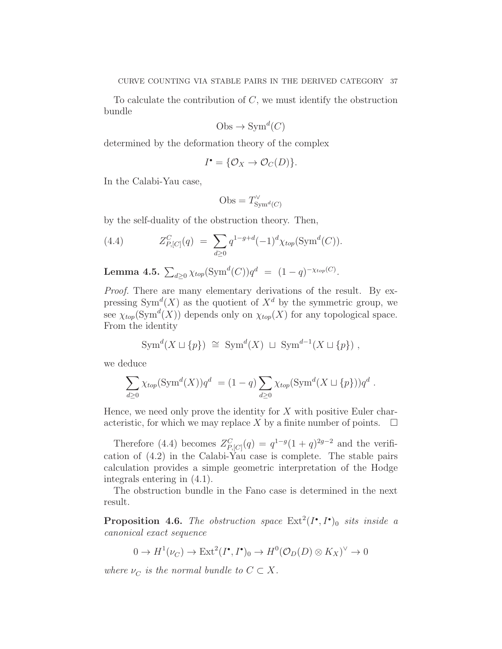To calculate the contribution of  $C$ , we must identify the obstruction bundle

$$
Obs \to \text{Sym}^d(C)
$$

determined by the deformation theory of the complex

$$
I^{\bullet} = \{ \mathcal{O}_X \to \mathcal{O}_C(D) \}.
$$

In the Calabi-Yau case,

$$
Obs = T_{\mathrm{Sym}^d(C)}^{\vee}
$$

by the self-duality of the obstruction theory. Then,

(4.4) 
$$
Z_{P,[C]}^C(q) = \sum_{d \ge 0} q^{1-g+d} (-1)^d \chi_{top}(\text{Sym}^d(C)).
$$

**Lemma 4.5.**  $\sum_{d\geq 0} \chi_{top}(\text{Sym}^d(C))q^d = (1-q)^{-\chi_{top}(C)}$ .

Proof. There are many elementary derivations of the result. By expressing  $Sym^d(X)$  as the quotient of  $X^d$  by the symmetric group, we see  $\chi_{top}(\mathrm{Sym}^d(X))$  depends only on  $\chi_{top}(X)$  for any topological space. From the identity

$$
\text{Sym}^d(X \sqcup \{p\}) \cong \text{Sym}^d(X) \sqcup \text{Sym}^{d-1}(X \sqcup \{p\}),
$$

we deduce

$$
\sum_{d\geq 0} \chi_{top}(\mathrm{Sym}^d(X))q^d = (1-q)\sum_{d\geq 0} \chi_{top}(\mathrm{Sym}^d(X \sqcup \{p\}))q^d.
$$

Hence, we need only prove the identity for  $X$  with positive Euler characteristic, for which we may replace X by a finite number of points.  $\Box$ 

Therefore (4.4) becomes  $Z_{P,[C]}^C(q) = q^{1-g}(1+q)^{2g-2}$  and the verification of (4.2) in the Calabi-Yau case is complete. The stable pairs calculation provides a simple geometric interpretation of the Hodge integrals entering in (4.1).

The obstruction bundle in the Fano case is determined in the next result.

**Proposition 4.6.** The obstruction space  $\text{Ext}^2(I^{\bullet}, I^{\bullet})_0$  sits inside a canonical exact sequence

$$
0 \to H^1(\nu_C) \to \text{Ext}^2(I^{\bullet}, I^{\bullet})_0 \to H^0(\mathcal{O}_D(D) \otimes K_X)^{\vee} \to 0
$$

where  $\nu_C$  is the normal bundle to  $C \subset X$ .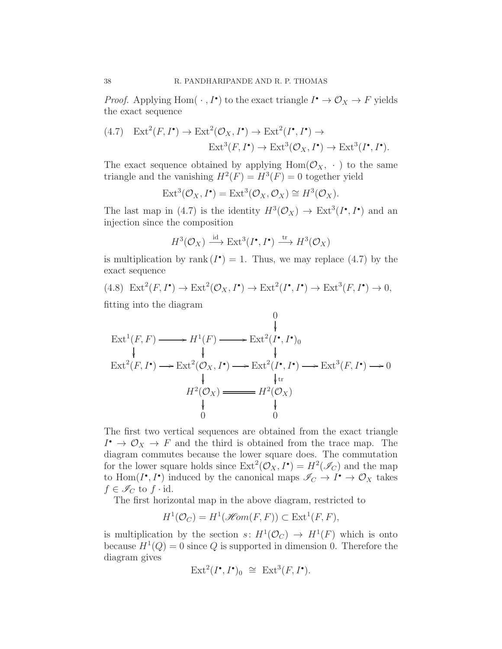*Proof.* Applying Hom $(\cdot, I^{\bullet})$  to the exact triangle  $I^{\bullet} \to \mathcal{O}_X \to F$  yields the exact sequence

$$
(4.7) \quad \operatorname{Ext}^2(F, I^{\bullet}) \to \operatorname{Ext}^2(\mathcal{O}_X, I^{\bullet}) \to \operatorname{Ext}^2(I^{\bullet}, I^{\bullet}) \to
$$

$$
\operatorname{Ext}^3(F, I^{\bullet}) \to \operatorname{Ext}^3(\mathcal{O}_X, I^{\bullet}) \to \operatorname{Ext}^3(I^{\bullet}, I^{\bullet}).
$$

The exact sequence obtained by applying  $Hom(\mathcal{O}_X, \cdot)$  to the same triangle and the vanishing  $H^2(F) = H^3(F) = 0$  together yield

$$
Ext^3(\mathcal{O}_X, I^{\bullet}) = Ext^3(\mathcal{O}_X, \mathcal{O}_X) \cong H^3(\mathcal{O}_X).
$$

The last map in (4.7) is the identity  $H^3(\mathcal{O}_X) \to \text{Ext}^3(I^{\bullet}, I^{\bullet})$  and an injection since the composition

$$
H^3(\mathcal{O}_X) \xrightarrow{\mathrm{id}} \mathrm{Ext}^3(I^\bullet, I^\bullet) \xrightarrow{\mathrm{tr}} H^3(\mathcal{O}_X)
$$

is multiplication by rank  $(I^{\bullet}) = 1$ . Thus, we may replace  $(4.7)$  by the exact sequence

 $(4.8) \operatorname{Ext}^2(F, I^{\bullet}) \to \operatorname{Ext}^2(\mathcal{O}_X, I^{\bullet}) \to \operatorname{Ext}^2(I^{\bullet}, I^{\bullet}) \to \operatorname{Ext}^3(F, I^{\bullet}) \to 0,$ 

fitting into the diagram

$$
\operatorname{Ext}^1(F, F) \longrightarrow H^1(F) \longrightarrow \operatorname{Ext}^2(I^{\bullet}, I^{\bullet})_0
$$
\n
$$
\downarrow \qquad \qquad \downarrow \qquad \qquad \downarrow
$$
\n
$$
\operatorname{Ext}^2(F, I^{\bullet}) \longrightarrow \operatorname{Ext}^2(\mathcal{O}_X, I^{\bullet}) \longrightarrow \operatorname{Ext}^2(I^{\bullet}, I^{\bullet}) \longrightarrow \operatorname{Ext}^3(F, I^{\bullet}) \longrightarrow 0
$$
\n
$$
\downarrow \qquad \qquad \downarrow
$$
\n
$$
H^2(\mathcal{O}_X) \longrightarrow H^2(\mathcal{O}_X)
$$
\n
$$
\downarrow \qquad \qquad \downarrow
$$
\n
$$
0 \qquad \qquad 0
$$

The first two vertical sequences are obtained from the exact triangle  $I^{\bullet} \to \mathcal{O}_X \to F$  and the third is obtained from the trace map. The diagram commutes because the lower square does. The commutation for the lower square holds since  $\text{Ext}^2(\mathcal{O}_X, I^{\bullet}) = H^2(\mathcal{I}_C)$  and the map to Hom $(I^{\bullet}, I^{\bullet})$  induced by the canonical maps  $\mathscr{I}_{C} \to I^{\bullet} \to \mathcal{O}_{X}$  takes  $f \in \mathscr{I}_C$  to  $f \cdot id$ .

The first horizontal map in the above diagram, restricted to

$$
H^1(\mathcal{O}_C) = H^1(\mathcal{H}om(F,F)) \subset \text{Ext}^1(F,F),
$$

is multiplication by the section  $s: H^1(\mathcal{O}_C) \to H^1(F)$  which is onto because  $H^1(Q) = 0$  since Q is supported in dimension 0. Therefore the diagram gives

$$
\text{Ext}^2(I^\bullet, I^\bullet)_0 \cong \text{Ext}^3(F, I^\bullet).
$$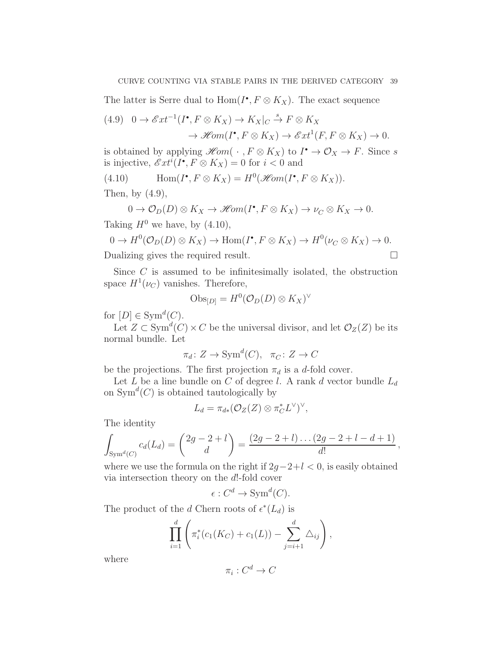The latter is Serre dual to  $Hom(I^{\bullet}, F \otimes K_X)$ . The exact sequence

$$
(4.9) \quad 0 \to \mathscr{E}xt^{-1}(I^{\bullet}, F \otimes K_X) \to K_X|_{C} \xrightarrow{\ s} F \otimes K_X
$$

$$
\to \mathscr{H}om(I^{\bullet}, F \otimes K_X) \to \mathscr{E}xt^1(F, F \otimes K_X) \to 0.
$$

is obtained by applying  $\mathscr{H}\!om(\cdot, F \otimes K_X)$  to  $I^{\bullet} \to \mathcal{O}_X \to F$ . Since s is injective,  $\mathscr{E}xt^{i}(I^{\bullet}, F \otimes K_X) = 0$  for  $i < 0$  and

(4.10) 
$$
\text{Hom}(I^{\bullet}, F \otimes K_X) = H^0(\mathcal{H}om(I^{\bullet}, F \otimes K_X)).
$$

Then, by  $(4.9)$ ,

$$
0 \to \mathcal{O}_D(D) \otimes K_X \to \mathscr{H}\!om(I^{\bullet}, F \otimes K_X) \to \nu_C \otimes K_X \to 0.
$$

Taking  $H^0$  we have, by  $(4.10)$ ,

$$
0 \to H^0(\mathcal{O}_D(D) \otimes K_X) \to \text{Hom}(I^{\bullet}, F \otimes K_X) \to H^0(\nu_C \otimes K_X) \to 0.
$$
  
Dualizing gives the required result.

Since  $C$  is assumed to be infinitesimally isolated, the obstruction space  $H^1(\nu_C)$  vanishes. Therefore,

$$
\mathrm{Obs}_{[D]} = H^0(\mathcal{O}_D(D) \otimes K_X)^\vee
$$

for  $[D] \in \text{Sym}^d(C)$ .

Let  $Z \subset \text{Sym}^d(C) \times C$  be the universal divisor, and let  $\mathcal{O}_Z(Z)$  be its normal bundle. Let

$$
\pi_d \colon Z \to \mathrm{Sym}^d(C), \ \ \pi_C \colon Z \to C
$$

be the projections. The first projection  $\pi_d$  is a d-fold cover.

Let  $L$  be a line bundle on  $C$  of degree  $l$ . A rank  $d$  vector bundle  $L_d$ on  $Sym^d(C)$  is obtained tautologically by

$$
L_d = \pi_{d*}(\mathcal{O}_Z(Z) \otimes \pi_C^* L^{\vee})^{\vee},
$$

The identity

$$
\int_{\mathrm{Sym}^d(C)} c_d(L_d) = \binom{2g-2+l}{d} = \frac{(2g-2+l)\dots(2g-2+l-d+1)}{d!},
$$

where we use the formula on the right if  $2g-2+l < 0$ , is easily obtained via intersection theory on the d!-fold cover

$$
\epsilon: C^d \to \text{Sym}^d(C).
$$

The product of the d Chern roots of  $\epsilon^*(L_d)$  is

$$
\prod_{i=1}^{d} \left( \pi_i^*(c_1(K_C) + c_1(L)) - \sum_{j=i+1}^{d} \Delta_{ij} \right),
$$

where

$$
\pi_i: C^d \to C
$$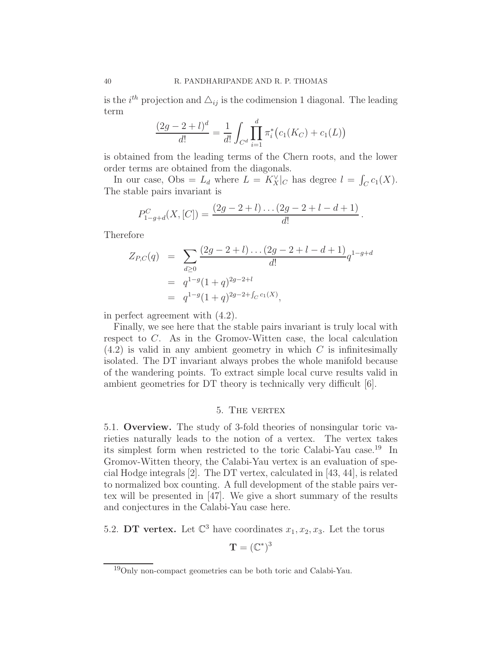is the  $i^{th}$  projection and  $\Delta_{ij}$  is the codimension 1 diagonal. The leading term

$$
\frac{(2g-2+l)^d}{d!} = \frac{1}{d!} \int_{C^d} \prod_{i=1}^d \pi_i^* (c_1(K_C) + c_1(L))
$$

is obtained from the leading terms of the Chern roots, and the lower order terms are obtained from the diagonals.

In our case, Obs =  $L_d$  where  $L = K_X^{\vee}|_C$  has degree  $l = \int_C c_1(X)$ . The stable pairs invariant is

$$
P_{1-g+d}^C(X,[C]) = \frac{(2g-2+l)\dots(2g-2+l-d+1)}{d!}.
$$

Therefore

$$
Z_{P,C}(q) = \sum_{d\geq 0} \frac{(2g-2+l)\dots(2g-2+l-d+1)}{d!} q^{1-g+d}
$$
  
=  $q^{1-g}(1+q)^{2g-2+l}$   
=  $q^{1-g}(1+q)^{2g-2+f_C c_1(X)}$ ,

in perfect agreement with (4.2).

Finally, we see here that the stable pairs invariant is truly local with respect to C. As in the Gromov-Witten case, the local calculation  $(4.2)$  is valid in any ambient geometry in which C is infinitesimally isolated. The DT invariant always probes the whole manifold because of the wandering points. To extract simple local curve results valid in ambient geometries for DT theory is technically very difficult [6].

## 5. The vertex

5.1. Overview. The study of 3-fold theories of nonsingular toric varieties naturally leads to the notion of a vertex. The vertex takes its simplest form when restricted to the toric Calabi-Yau case.<sup>19</sup> In Gromov-Witten theory, the Calabi-Yau vertex is an evaluation of special Hodge integrals [2]. The DT vertex, calculated in [43, 44], is related to normalized box counting. A full development of the stable pairs vertex will be presented in [47]. We give a short summary of the results and conjectures in the Calabi-Yau case here.

5.2. DT vertex. Let  $\mathbb{C}^3$  have coordinates  $x_1, x_2, x_3$ . Let the torus

$$
\mathbf{T}=(\mathbb{C}^*)^3
$$

<sup>19</sup>Only non-compact geometries can be both toric and Calabi-Yau.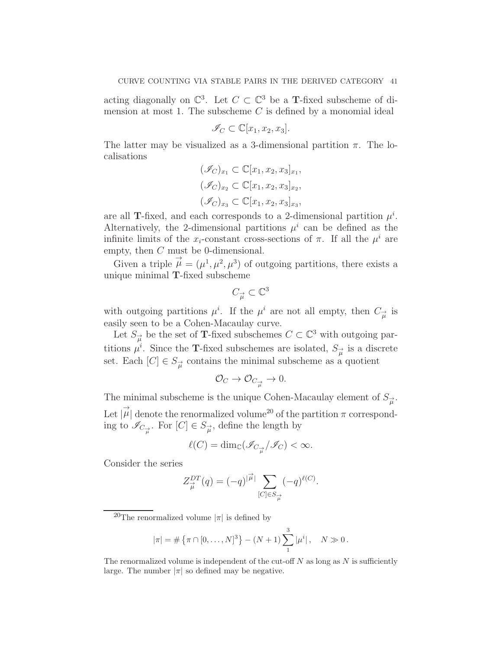acting diagonally on  $\mathbb{C}^3$ . Let  $C \subset \mathbb{C}^3$  be a **T**-fixed subscheme of dimension at most 1. The subscheme  $C$  is defined by a monomial ideal

$$
\mathscr{I}_C \subset \mathbb{C}[x_1, x_2, x_3].
$$

The latter may be visualized as a 3-dimensional partition  $\pi$ . The localisations

$$
(\mathscr{I}_C)_{x_1} \subset \mathbb{C}[x_1, x_2, x_3]_{x_1},
$$

$$
(\mathscr{I}_C)_{x_2} \subset \mathbb{C}[x_1, x_2, x_3]_{x_2},
$$

$$
(\mathscr{I}_C)_{x_3} \subset \mathbb{C}[x_1, x_2, x_3]_{x_3},
$$

are all T-fixed, and each corresponds to a 2-dimensional partition  $\mu^i$ . Alternatively, the 2-dimensional partitions  $\mu^{i}$  can be defined as the infinite limits of the  $x_i$ -constant cross-sections of  $\pi$ . If all the  $\mu^i$  are empty, then C must be 0-dimensional.

Given a triple  $\vec{\mu} = (\mu^1, \mu^2, \mu^3)$  of outgoing partitions, there exists a unique minimal T-fixed subscheme

$$
C_{\overrightarrow{\mu}} \subset \mathbb{C}^3
$$

with outgoing partitions  $\mu^i$ . If the  $\mu^i$  are not all empty, then  $C_{\vec{\mu}}$  is easily seen to be a Cohen-Macaulay curve.

Let  $S_{\mu}^{\rightarrow}$  be the set of **T**-fixed subschemes  $C \subset \mathbb{C}^3$  with outgoing partitions  $\mu^i$ . Since the **T**-fixed subschemes are isolated,  $S_{\vec{\mu}}$  is a discrete set. Each  $[C] \in S_{\overrightarrow{\mu}}$  contains the minimal subscheme as a quotient

$$
\mathcal{O}_C \to \mathcal{O}_{C_{\overrightarrow{\mu}}} \to 0.
$$

The minimal subscheme is the unique Cohen-Macaulay element of  $S_{\vec{\mu}}$ . Let  $|\vec{\mu}|$  denote the renormalized volume<sup>20</sup> of the partition  $\pi$  corresponding to  $\mathscr{I}_{C_{\overrightarrow{\mu}}}$ . For  $[C] \in S_{\overrightarrow{\mu}}$ , define the length by

$$
\ell(C)=\dim_{\mathbb{C}}(\mathscr{I}_{C_{\overrightarrow{\mu}}}/\mathscr{I}_{C})<\infty.
$$

Consider the series

$$
Z_{\vec{\mu}}^{DT}(q) = (-q)^{|\vec{\mu}|} \sum_{[C] \in S_{\vec{\mu}}} (-q)^{\ell(C)}.
$$

$$
|\pi| = \#\{\pi \cap [0, \ldots, N]^3\} - (N+1) \sum_{1}^3 |\mu^i|, \quad N \gg 0.
$$

The renormalized volume is independent of the cut-off  $N$  as long as  $N$  is sufficiently large. The number  $|\pi|$  so defined may be negative.

<sup>&</sup>lt;sup>20</sup>The renormalized volume  $|\pi|$  is defined by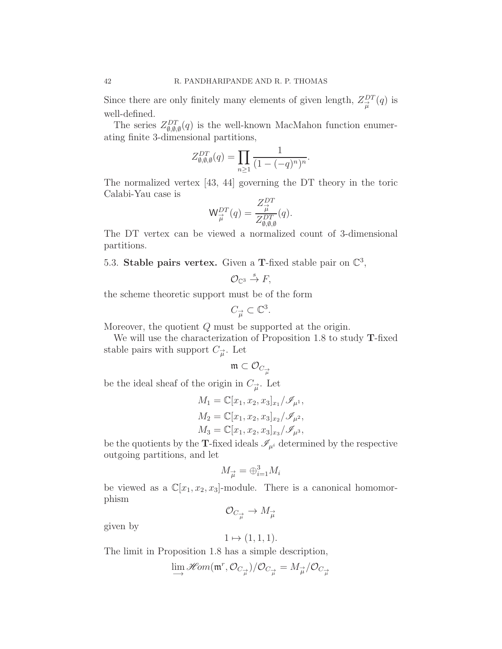Since there are only finitely many elements of given length,  $Z_{\vec{\mu}}^{DT}(q)$  is well-defined.

The series  $Z_{\emptyset,\emptyset,\emptyset}^{DT}(q)$  is the well-known MacMahon function enumerating finite 3-dimensional partitions,

$$
Z_{\emptyset,\emptyset,\emptyset}^{DT}(q) = \prod_{n\geq 1} \frac{1}{(1 - (-q)^n)^n}.
$$

The normalized vertex [43, 44] governing the DT theory in the toric Calabi-Yau case is

$$
\mathsf{W}^{DT}_{\overrightarrow{\mu}}(q)=\frac{Z^{DT}_{\overrightarrow{\mu}}}{Z^{DT}_{\emptyset,\emptyset,\emptyset}}(q).
$$

The DT vertex can be viewed a normalized count of 3-dimensional partitions.

5.3. Stable pairs vertex. Given a T-fixed stable pair on  $\mathbb{C}^3$ ,

$$
\mathcal{O}_{\mathbb{C}^3}\stackrel{s}{\to}F,
$$

the scheme theoretic support must be of the form

$$
C_{\overrightarrow{\mu}} \subset \mathbb{C}^3.
$$

Moreover, the quotient Q must be supported at the origin.

We will use the characterization of Proposition 1.8 to study **T**-fixed stable pairs with support  $C_{\vec{\mu}}$ . Let

$$
\mathfrak{m} \subset \mathcal{O}_{C_{\overrightarrow{\mu}}}
$$

be the ideal sheaf of the origin in  $C_{\vec{\mu}}$ . Let

$$
M_1 = \mathbb{C}[x_1, x_2, x_3]_{x_1}/\mathcal{I}_{\mu^1},
$$
  
\n
$$
M_2 = \mathbb{C}[x_1, x_2, x_3]_{x_2}/\mathcal{I}_{\mu^2},
$$
  
\n
$$
M_3 = \mathbb{C}[x_1, x_2, x_3]_{x_3}/\mathcal{I}_{\mu^3},
$$

be the quotients by the T-fixed ideals  $\mathcal{I}_{\mu^{i}}$  determined by the respective outgoing partitions, and let

$$
M_{\overrightarrow{\mu}} = \bigoplus_{i=1}^{3} M_i
$$

be viewed as a  $\mathbb{C}[x_1, x_2, x_3]$ -module. There is a canonical homomorphism

 $\mathcal{O}_{C_{\overrightarrow{\mu}}} \to M_{\overrightarrow{\mu}}$ 

given by

$$
1 \mapsto (1, 1, 1).
$$

The limit in Proposition 1.8 has a simple description,

$$
\lim_{\longrightarrow} \mathscr{H}\!om(\mathfrak{m}^r,\mathcal{O}_{C_{\overrightarrow{\mu}}})/\mathcal{O}_{C_{\overrightarrow{\mu}}} = M_{\overrightarrow{\mu}}/\mathcal{O}_{C_{\overrightarrow{\mu}}}
$$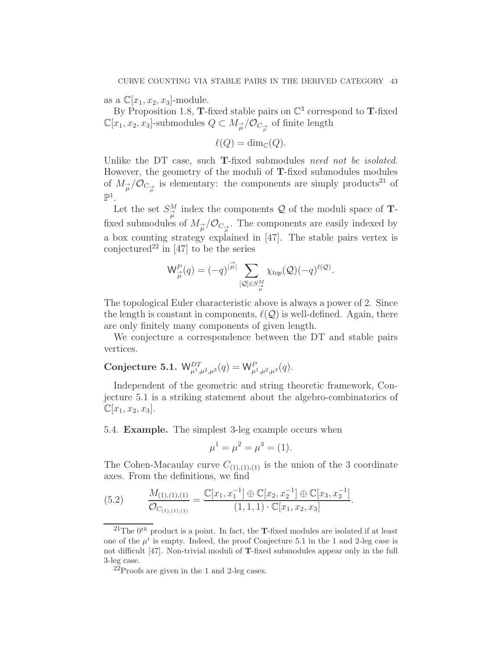as a  $\mathbb{C}[x_1, x_2, x_3]$ -module.

By Proposition 1.8, **T**-fixed stable pairs on  $\mathbb{C}^3$  correspond to **T**-fixed  $\mathbb{C}[x_1, x_2, x_3]$ -submodules  $Q \subset M_{\overrightarrow{\mu}}/\mathcal{O}_{C_{\overrightarrow{\mu}}}$  of finite length

$$
\ell(Q) = \dim_{\mathbb{C}}(Q).
$$

Unlike the DT case, such **T**-fixed submodules need not be isolated. However, the geometry of the moduli of T-fixed submodules modules of  $M_{\vec{\mu}}/\mathcal{O}_{C_{\vec{\mu}}}$  is elementary: the components are simply products<sup>21</sup> of  $\mathbb{P}^1$ .

Let the set  $S^M_{\mu}$  index the components Q of the moduli space of **T**fixed submodules of  $M_{\overrightarrow{\mu}}/\mathcal{O}_{C_{\overrightarrow{\mu}}}$ . The components are easily indexed by a box counting strategy explained in [47]. The stable pairs vertex is conjectured<sup>22</sup> in [47] to be the series

$$
\mathsf{W}_{\overrightarrow{\mu}}^P(q) = (-q)^{|\overrightarrow{\mu}|} \sum_{[\mathcal{Q}] \in S_{\overrightarrow{\mu}}^M} \chi_{top}(\mathcal{Q}) (-q)^{\ell(\mathcal{Q})}.
$$

The topological Euler characteristic above is always a power of 2. Since the length is constant in components,  $\ell(Q)$  is well-defined. Again, there are only finitely many components of given length.

We conjecture a correspondence between the DT and stable pairs vertices.

## Conjecture 5.1.  $W_{\mu^1,\mu^2,\mu^3}^{DT}(q) = W_{\mu^1,\mu^2,\mu^3}^P(q)$ .

Independent of the geometric and string theoretic framework, Conjecture 5.1 is a striking statement about the algebro-combinatorics of  $\mathbb{C}[x_1, x_2, x_3].$ 

5.4. Example. The simplest 3-leg example occurs when

$$
\mu^1 = \mu^2 = \mu^3 = (1).
$$

The Cohen-Macaulay curve  $C_{(1),(1),(1)}$  is the union of the 3 coordinate axes. From the definitions, we find

(5.2) 
$$
\frac{M_{(1),(1),(1)}}{\mathcal{O}_{C_{(1),(1),(1)}}} = \frac{\mathbb{C}[x_1, x_1^{-1}] \oplus \mathbb{C}[x_2, x_2^{-1}] \oplus \mathbb{C}[x_3, x_3^{-1}]}{(1,1,1) \cdot \mathbb{C}[x_1, x_2, x_3]}.
$$

<sup>&</sup>lt;sup>21</sup>The  $0^{th}$  product is a point. In fact, the **T**-fixed modules are isolated if at least one of the  $\mu^{i}$  is empty. Indeed, the proof Conjecture 5.1 in the 1 and 2-leg case is not difficult [47]. Non-trivial moduli of T-fixed submodules appear only in the full 3-leg case.

 $^{22}$ Proofs are given in the 1 and 2-leg cases.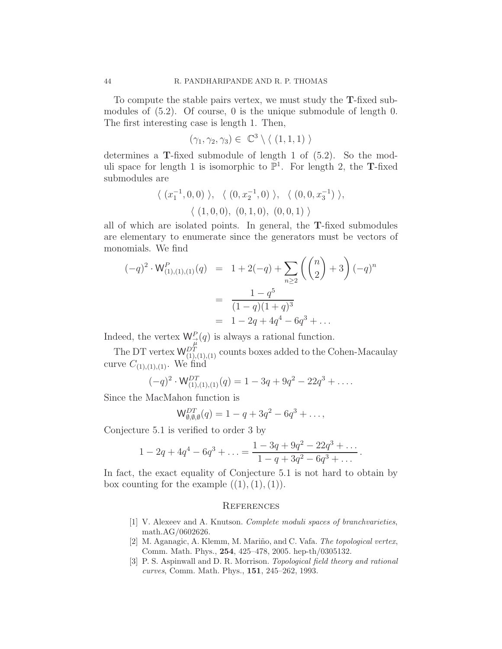To compute the stable pairs vertex, we must study the T-fixed submodules of (5.2). Of course, 0 is the unique submodule of length 0. The first interesting case is length 1. Then,

$$
(\gamma_1, \gamma_2, \gamma_3) \in \mathbb{C}^3 \setminus \langle (1, 1, 1) \rangle
$$

determines a T-fixed submodule of length 1 of (5.2). So the moduli space for length 1 is isomorphic to  $\mathbb{P}^1$ . For length 2, the **T**-fixed submodules are

$$
\langle (x_1^{-1}, 0, 0) \rangle, \langle (0, x_2^{-1}, 0) \rangle, \langle (0, 0, x_3^{-1}) \rangle,
$$
  

$$
\langle (1, 0, 0), (0, 1, 0), (0, 0, 1) \rangle
$$

all of which are isolated points. In general, the T-fixed submodules are elementary to enumerate since the generators must be vectors of monomials. We find

$$
(-q)^2 \cdot \mathsf{W}_{(1),(1),(1)}^P(q) = 1 + 2(-q) + \sum_{n \ge 2} \left( \binom{n}{2} + 3 \right) (-q)^n
$$

$$
= \frac{1 - q^5}{(1 - q)(1 + q)^3}
$$

$$
= 1 - 2q + 4q^4 - 6q^3 + \dots
$$

Indeed, the vertex  $\mathsf{W}_{\overrightarrow{\mu}}^P(q)$  is always a rational function.

The DT vertex  $W_{(1),(1),(1)}^{D_T}$  counts boxes added to the Cohen-Macaulay curve  $C_{(1),(1),(1)}$ . We find

$$
(-q)^2 \cdot W_{(1),(1),(1)}^{DT}(q) = 1 - 3q + 9q^2 - 22q^3 + \dots
$$

Since the MacMahon function is

$$
\mathsf{W}_{\emptyset,\emptyset,\emptyset}^{DT}(q) = 1 - q + 3q^2 - 6q^3 + \dots,
$$

Conjecture 5.1 is verified to order 3 by

$$
1 - 2q + 4q^{4} - 6q^{3} + \dots = \frac{1 - 3q + 9q^{2} - 22q^{3} + \dots}{1 - q + 3q^{2} - 6q^{3} + \dots}.
$$

In fact, the exact equality of Conjecture 5.1 is not hard to obtain by box counting for the example  $((1),(1),(1))$ .

#### **REFERENCES**

- [1] V. Alexeev and A. Knutson. *Complete moduli spaces of branchvarieties*, math.AG/0602626.
- [2] M. Aganagic, A. Klemm, M. Mariño, and C. Vafa. *The topological vertex*, Comm. Math. Phys., 254, 425–478, 2005. hep-th/0305132.
- [3] P. S. Aspinwall and D. R. Morrison. *Topological field theory and rational curves*, Comm. Math. Phys., 151, 245–262, 1993.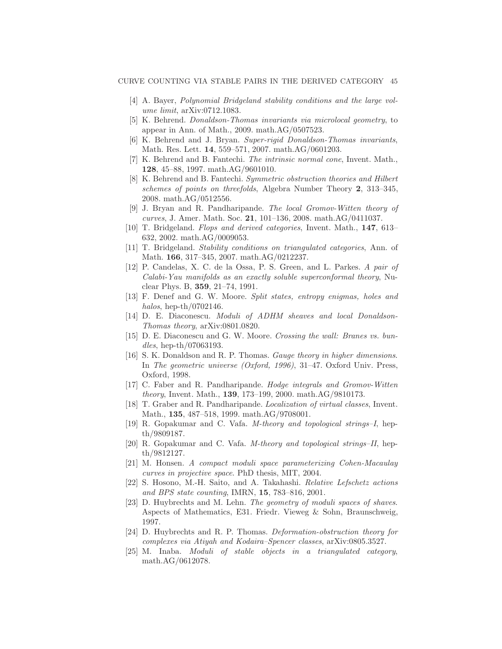- [4] A. Bayer, *Polynomial Bridgeland stability conditions and the large volume limit*, arXiv:0712.1083.
- [5] K. Behrend. *Donaldson-Thomas invariants via microlocal geometry*, to appear in Ann. of Math., 2009. math.AG/0507523.
- [6] K. Behrend and J. Bryan. *Super-rigid Donaldson-Thomas invariants*, Math. Res. Lett. 14, 559–571, 2007. math.AG/0601203.
- [7] K. Behrend and B. Fantechi. *The intrinsic normal cone*, Invent. Math., 128, 45–88, 1997. math.AG/9601010.
- [8] K. Behrend and B. Fantechi. *Symmetric obstruction theories and Hilbert schemes of points on threefolds*, Algebra Number Theory 2, 313–345, 2008. math.AG/0512556.
- [9] J. Bryan and R. Pandharipande. *The local Gromov-Witten theory of curves*, J. Amer. Math. Soc. 21, 101–136, 2008. math.AG/0411037.
- [10] T. Bridgeland. *Flops and derived categories*, Invent. Math., 147, 613– 632, 2002. math.AG/0009053.
- [11] T. Bridgeland. *Stability conditions on triangulated categories*, Ann. of Math. 166, 317–345, 2007. math.AG/0212237.
- [12] P. Candelas, X. C. de la Ossa, P. S. Green, and L. Parkes. *A pair of Calabi-Yau manifolds as an exactly soluble superconformal theory*, Nuclear Phys. B, 359, 21–74, 1991.
- [13] F. Denef and G. W. Moore. *Split states, entropy enigmas, holes and halos*, hep-th/0702146.
- [14] D. E. Diaconescu. *Moduli of ADHM sheaves and local Donaldson-Thomas theory*, arXiv:0801.0820.
- [15] D. E. Diaconescu and G. W. Moore. *Crossing the wall: Branes vs. bundles*, hep-th/07063193.
- [16] S. K. Donaldson and R. P. Thomas. *Gauge theory in higher dimensions*. In *The geometric universe (Oxford, 1996)*, 31–47. Oxford Univ. Press, Oxford, 1998.
- [17] C. Faber and R. Pandharipande. *Hodge integrals and Gromov-Witten theory*, Invent. Math., 139, 173–199, 2000. math.AG/9810173.
- [18] T. Graber and R. Pandharipande. *Localization of virtual classes*, Invent. Math., 135, 487–518, 1999. math.AG/9708001.
- [19] R. Gopakumar and C. Vafa. *M-theory and topological strings–I*, hepth/9809187.
- [20] R. Gopakumar and C. Vafa. *M-theory and topological strings–II*, hepth/9812127.
- [21] M. Honsen. *A compact moduli space parameterizing Cohen-Macaulay curves in projective space*. PhD thesis, MIT, 2004.
- [22] S. Hosono, M.-H. Saito, and A. Takahashi. *Relative Lefschetz actions and BPS state counting*, IMRN, 15, 783–816, 2001.
- [23] D. Huybrechts and M. Lehn. *The geometry of moduli spaces of shaves*. Aspects of Mathematics, E31. Friedr. Vieweg & Sohn, Braunschweig, 1997.
- [24] D. Huybrechts and R. P. Thomas. *Deformation-obstruction theory for complexes via Atiyah and Kodaira–Spencer classes*, arXiv:0805.3527.
- [25] M. Inaba. *Moduli of stable objects in a triangulated category*, math.AG/0612078.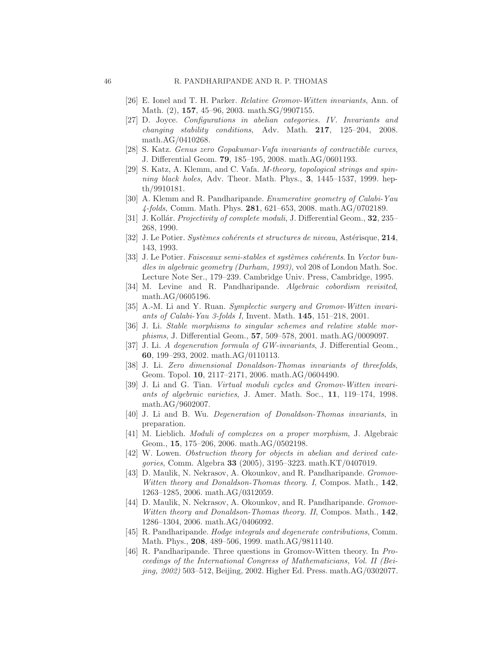- [26] E. Ionel and T. H. Parker. *Relative Gromov-Witten invariants*, Ann. of Math. (2), 157, 45–96, 2003. math.SG/9907155.
- [27] D. Joyce. *Configurations in abelian categories. IV. Invariants and changing stability conditions*, Adv. Math. 217, 125–204, 2008. math.AG/0410268.
- [28] S. Katz. *Genus zero Gopakumar-Vafa invariants of contractible curves*, J. Differential Geom. 79, 185–195, 2008. math.AG/0601193.
- [29] S. Katz, A. Klemm, and C. Vafa. *M-theory, topological strings and spinning black holes*, Adv. Theor. Math. Phys., 3, 1445–1537, 1999. hepth/9910181.
- [30] A. Klemm and R. Pandharipande. *Enumerative geometry of Calabi-Yau 4-folds*, Comm. Math. Phys. 281, 621–653, 2008. math.AG/0702189.
- [31] J. Kollár. *Projectivity of complete moduli*, J. Differential Geom., **32**, 235– 268, 1990.
- [32] J. Le Potier. *Systèmes cohérents et structures de niveau*, Astérisque, 214, 143, 1993.
- [33] J. Le Potier. *Faisceaux semi-stables et systèmes cohérents*. In *Vector bundles in algebraic geometry (Durham, 1993)*, vol 208 of London Math. Soc. Lecture Note Ser., 179–239. Cambridge Univ. Press, Cambridge, 1995.
- [34] M. Levine and R. Pandharipande. *Algebraic cobordism revisited*, math.AG/0605196.
- [35] A.-M. Li and Y. Ruan. *Symplectic surgery and Gromov-Witten invariants of Calabi-Yau 3-folds I*, Invent. Math. 145, 151–218, 2001.
- [36] J. Li. *Stable morphisms to singular schemes and relative stable morphisms*, J. Differential Geom., 57, 509–578, 2001. math.AG/0009097.
- [37] J. Li. *A degeneration formula of GW-invariants*, J. Differential Geom., 60, 199–293, 2002. math.AG/0110113.
- [38] J. Li. *Zero dimensional Donaldson-Thomas invariants of threefolds*, Geom. Topol. 10, 2117–2171, 2006. math.AG/0604490.
- [39] J. Li and G. Tian. *Virtual moduli cycles and Gromov-Witten invariants of algebraic varieties*, J. Amer. Math. Soc., 11, 119–174, 1998. math.AG/9602007.
- [40] J. Li and B. Wu. *Degeneration of Donaldson-Thomas invariants*, in preparation.
- [41] M. Lieblich. *Moduli of complexes on a proper morphism*, J. Algebraic Geom., 15, 175–206, 2006. math.AG/0502198.
- [42] W. Lowen. *Obstruction theory for objects in abelian and derived categories*, Comm. Algebra 33 (2005), 3195–3223. math.KT/0407019.
- [43] D. Maulik, N. Nekrasov, A. Okounkov, and R. Pandharipande. *Gromov-Witten theory and Donaldson-Thomas theory. I*, Compos. Math., 142, 1263–1285, 2006. math.AG/0312059.
- [44] D. Maulik, N. Nekrasov, A. Okounkov, and R. Pandharipande. *Gromov-Witten theory and Donaldson-Thomas theory. II*, Compos. Math., 142, 1286–1304, 2006. math.AG/0406092.
- [45] R. Pandharipande. *Hodge integrals and degenerate contributions*, Comm. Math. Phys., 208, 489–506, 1999. math.AG/9811140.
- [46] R. Pandharipande. Three questions in Gromov-Witten theory. In *Proceedings of the International Congress of Mathematicians, Vol. II (Beijing, 2002)* 503–512, Beijing, 2002. Higher Ed. Press. math.AG/0302077.